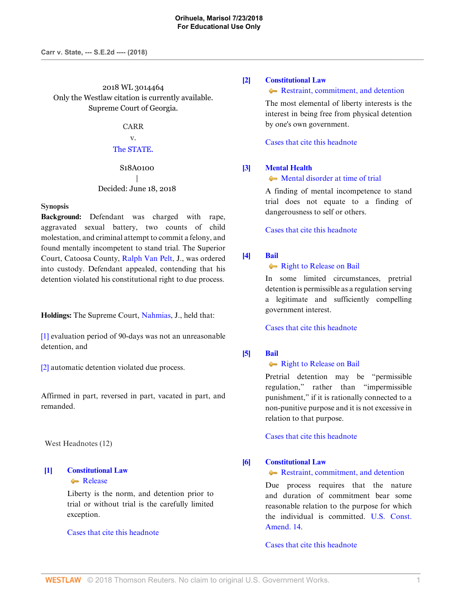2018 WL 3014464 Only the Westlaw citation is currently available. Supreme Court of Georgia.

# CARR

# v. [The STATE.](http://www.westlaw.com/Search/Results.html?query=advanced%3a+OAID(5035374679)&saveJuris=False&contentType=BUSINESS-INVESTIGATOR&startIndex=1&contextData=(sc.Default)&categoryPageUrl=Home%2fCompanyInvestigator&originationContext=document&vr=3.0&rs=cblt1.0&transitionType=DocumentItem)

# S18A0100 | Decided: June 18, 2018

#### **Synopsis**

**Background:** Defendant was charged with rape, aggravated sexual battery, two counts of child molestation, and criminal attempt to commit a felony, and found mentally incompetent to stand trial. The Superior Court, Catoosa County, [Ralph Van Pelt](http://www.westlaw.com/Link/Document/FullText?findType=h&pubNum=176284&cite=0227003701&originatingDoc=Ie8e30330731111e8a018fb92467ccf77&refType=RQ&originationContext=document&vr=3.0&rs=cblt1.0&transitionType=DocumentItem&contextData=(sc.Keycite)), J., was ordered into custody. Defendant appealed, contending that his detention violated his constitutional right to due process.

**Holdings:** The Supreme Court, [Nahmias,](http://www.westlaw.com/Link/Document/FullText?findType=h&pubNum=176284&cite=0245833301&originatingDoc=Ie8e30330731111e8a018fb92467ccf77&refType=RQ&originationContext=document&vr=3.0&rs=cblt1.0&transitionType=DocumentItem&contextData=(sc.Keycite)) J., held that:

[\[1\]](#page-1-0) evaluation period of 90-days was not an unreasonable detention, and

[\[2\]](#page-1-1) automatic detention violated due process.

Affirmed in part, reversed in part, vacated in part, and remanded.

West Headnotes (12)

# <span id="page-0-0"></span>**[\[1\]](#page-5-0) [Constitutional Law](http://www.westlaw.com/Browse/Home/KeyNumber/92/View.html?docGuid=Ie8e30330731111e8a018fb92467ccf77&originationContext=document&vr=3.0&rs=cblt1.0&transitionType=DocumentItem&contextData=(sc.Keycite))** [Release](http://www.westlaw.com/Browse/Home/KeyNumber/92k4547/View.html?docGuid=Ie8e30330731111e8a018fb92467ccf77&originationContext=document&vr=3.0&rs=cblt1.0&transitionType=DocumentItem&contextData=(sc.Keycite))

Liberty is the norm, and detention prior to trial or without trial is the carefully limited exception.

# [Cases that cite this headnote](http://www.westlaw.com/Link/RelatedInformation/DocHeadnoteLink?docGuid=Ie8e30330731111e8a018fb92467ccf77&headnoteId=204475867300120180627141324&originationContext=document&vr=3.0&rs=cblt1.0&transitionType=CitingReferences&contextData=(sc.Keycite))

## <span id="page-0-1"></span>**[\[2\]](#page-5-1) [Constitutional Law](http://www.westlaw.com/Browse/Home/KeyNumber/92/View.html?docGuid=Ie8e30330731111e8a018fb92467ccf77&originationContext=document&vr=3.0&rs=cblt1.0&transitionType=DocumentItem&contextData=(sc.Keycite))**

[Restraint, commitment, and detention](http://www.westlaw.com/Browse/Home/KeyNumber/92k4041/View.html?docGuid=Ie8e30330731111e8a018fb92467ccf77&originationContext=document&vr=3.0&rs=cblt1.0&transitionType=DocumentItem&contextData=(sc.Keycite))

The most elemental of liberty interests is the interest in being free from physical detention by one's own government.

[Cases that cite this headnote](http://www.westlaw.com/Link/RelatedInformation/DocHeadnoteLink?docGuid=Ie8e30330731111e8a018fb92467ccf77&headnoteId=204475867300220180627141324&originationContext=document&vr=3.0&rs=cblt1.0&transitionType=CitingReferences&contextData=(sc.Keycite))

## <span id="page-0-2"></span>**[\[3\]](#page-5-2) [Mental Health](http://www.westlaw.com/Browse/Home/KeyNumber/257A/View.html?docGuid=Ie8e30330731111e8a018fb92467ccf77&originationContext=document&vr=3.0&rs=cblt1.0&transitionType=DocumentItem&contextData=(sc.Keycite))**

#### • [Mental disorder at time of trial](http://www.westlaw.com/Browse/Home/KeyNumber/257Ak432/View.html?docGuid=Ie8e30330731111e8a018fb92467ccf77&originationContext=document&vr=3.0&rs=cblt1.0&transitionType=DocumentItem&contextData=(sc.Keycite))

A finding of mental incompetence to stand trial does not equate to a finding of dangerousness to self or others.

[Cases that cite this headnote](http://www.westlaw.com/Link/RelatedInformation/DocHeadnoteLink?docGuid=Ie8e30330731111e8a018fb92467ccf77&headnoteId=204475867300320180627141324&originationContext=document&vr=3.0&rs=cblt1.0&transitionType=CitingReferences&contextData=(sc.Keycite))

# <span id="page-0-3"></span>**[\[4\]](#page-5-3) [Bail](http://www.westlaw.com/Browse/Home/KeyNumber/49/View.html?docGuid=Ie8e30330731111e8a018fb92467ccf77&originationContext=document&vr=3.0&rs=cblt1.0&transitionType=DocumentItem&contextData=(sc.Keycite))**

# • [Right to Release on Bail](http://www.westlaw.com/Browse/Home/KeyNumber/49k41/View.html?docGuid=Ie8e30330731111e8a018fb92467ccf77&originationContext=document&vr=3.0&rs=cblt1.0&transitionType=DocumentItem&contextData=(sc.Keycite))

In some limited circumstances, pretrial detention is permissible as a regulation serving a legitimate and sufficiently compelling government interest.

[Cases that cite this headnote](http://www.westlaw.com/Link/RelatedInformation/DocHeadnoteLink?docGuid=Ie8e30330731111e8a018fb92467ccf77&headnoteId=204475867300420180627141324&originationContext=document&vr=3.0&rs=cblt1.0&transitionType=CitingReferences&contextData=(sc.Keycite))

## <span id="page-0-4"></span>**[\[5\]](#page-5-4) [Bail](http://www.westlaw.com/Browse/Home/KeyNumber/49/View.html?docGuid=Ie8e30330731111e8a018fb92467ccf77&originationContext=document&vr=3.0&rs=cblt1.0&transitionType=DocumentItem&contextData=(sc.Keycite))**

# **[Right to Release on Bail](http://www.westlaw.com/Browse/Home/KeyNumber/49k41/View.html?docGuid=Ie8e30330731111e8a018fb92467ccf77&originationContext=document&vr=3.0&rs=cblt1.0&transitionType=DocumentItem&contextData=(sc.Keycite))**

Pretrial detention may be "permissible regulation," rather than "impermissible punishment," if it is rationally connected to a non-punitive purpose and it is not excessive in relation to that purpose.

[Cases that cite this headnote](http://www.westlaw.com/Link/RelatedInformation/DocHeadnoteLink?docGuid=Ie8e30330731111e8a018fb92467ccf77&headnoteId=204475867300520180627141324&originationContext=document&vr=3.0&rs=cblt1.0&transitionType=CitingReferences&contextData=(sc.Keycite))

## <span id="page-0-5"></span>**[\[6\]](#page-5-5) [Constitutional Law](http://www.westlaw.com/Browse/Home/KeyNumber/92/View.html?docGuid=Ie8e30330731111e8a018fb92467ccf77&originationContext=document&vr=3.0&rs=cblt1.0&transitionType=DocumentItem&contextData=(sc.Keycite))**

[Restraint, commitment, and detention](http://www.westlaw.com/Browse/Home/KeyNumber/92k4041/View.html?docGuid=Ie8e30330731111e8a018fb92467ccf77&originationContext=document&vr=3.0&rs=cblt1.0&transitionType=DocumentItem&contextData=(sc.Keycite))

Due process requires that the nature and duration of commitment bear some reasonable relation to the purpose for which the individual is committed. [U.S. Const.](http://www.westlaw.com/Link/Document/FullText?findType=L&pubNum=1000583&cite=USCOAMENDXIV&originatingDoc=Ie8e30330731111e8a018fb92467ccf77&refType=LQ&originationContext=document&vr=3.0&rs=cblt1.0&transitionType=DocumentItem&contextData=(sc.Keycite)) [Amend. 14](http://www.westlaw.com/Link/Document/FullText?findType=L&pubNum=1000583&cite=USCOAMENDXIV&originatingDoc=Ie8e30330731111e8a018fb92467ccf77&refType=LQ&originationContext=document&vr=3.0&rs=cblt1.0&transitionType=DocumentItem&contextData=(sc.Keycite)).

[Cases that cite this headnote](http://www.westlaw.com/Link/RelatedInformation/DocHeadnoteLink?docGuid=Ie8e30330731111e8a018fb92467ccf77&headnoteId=204475867300620180627141324&originationContext=document&vr=3.0&rs=cblt1.0&transitionType=CitingReferences&contextData=(sc.Keycite))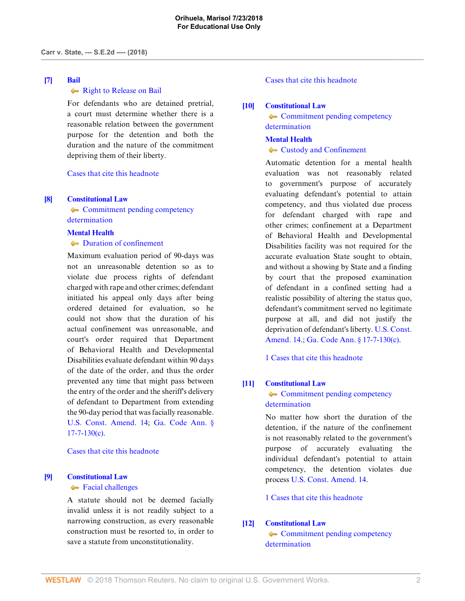# <span id="page-1-2"></span>**[\[7\]](#page-5-6) [Bail](http://www.westlaw.com/Browse/Home/KeyNumber/49/View.html?docGuid=Ie8e30330731111e8a018fb92467ccf77&originationContext=document&vr=3.0&rs=cblt1.0&transitionType=DocumentItem&contextData=(sc.Keycite))**

# • [Right to Release on Bail](http://www.westlaw.com/Browse/Home/KeyNumber/49k41/View.html?docGuid=Ie8e30330731111e8a018fb92467ccf77&originationContext=document&vr=3.0&rs=cblt1.0&transitionType=DocumentItem&contextData=(sc.Keycite))

For defendants who are detained pretrial, a court must determine whether there is a reasonable relation between the government purpose for the detention and both the duration and the nature of the commitment depriving them of their liberty.

# [Cases that cite this headnote](http://www.westlaw.com/Link/RelatedInformation/DocHeadnoteLink?docGuid=Ie8e30330731111e8a018fb92467ccf77&headnoteId=204475867300720180627141324&originationContext=document&vr=3.0&rs=cblt1.0&transitionType=CitingReferences&contextData=(sc.Keycite))

## <span id="page-1-0"></span>**[\[8\]](#page-6-0) [Constitutional Law](http://www.westlaw.com/Browse/Home/KeyNumber/92/View.html?docGuid=Ie8e30330731111e8a018fb92467ccf77&originationContext=document&vr=3.0&rs=cblt1.0&transitionType=DocumentItem&contextData=(sc.Keycite))**

• [Commitment pending competency](http://www.westlaw.com/Browse/Home/KeyNumber/92k4784/View.html?docGuid=Ie8e30330731111e8a018fb92467ccf77&originationContext=document&vr=3.0&rs=cblt1.0&transitionType=DocumentItem&contextData=(sc.Keycite)) [determination](http://www.westlaw.com/Browse/Home/KeyNumber/92k4784/View.html?docGuid=Ie8e30330731111e8a018fb92467ccf77&originationContext=document&vr=3.0&rs=cblt1.0&transitionType=DocumentItem&contextData=(sc.Keycite))

#### **[Mental Health](http://www.westlaw.com/Browse/Home/KeyNumber/257A/View.html?docGuid=Ie8e30330731111e8a018fb92467ccf77&originationContext=document&vr=3.0&rs=cblt1.0&transitionType=DocumentItem&contextData=(sc.Keycite))**

# $\rightarrow$  [Duration of confinement](http://www.westlaw.com/Browse/Home/KeyNumber/257Ak437/View.html?docGuid=Ie8e30330731111e8a018fb92467ccf77&originationContext=document&vr=3.0&rs=cblt1.0&transitionType=DocumentItem&contextData=(sc.Keycite))

Maximum evaluation period of 90-days was not an unreasonable detention so as to violate due process rights of defendant charged with rape and other crimes; defendant initiated his appeal only days after being ordered detained for evaluation, so he could not show that the duration of his actual confinement was unreasonable, and court's order required that Department of Behavioral Health and Developmental Disabilities evaluate defendant within 90 days of the date of the order, and thus the order prevented any time that might pass between the entry of the order and the sheriff's delivery of defendant to Department from extending the 90-day period that was facially reasonable. [U.S. Const. Amend. 14;](http://www.westlaw.com/Link/Document/FullText?findType=L&pubNum=1000583&cite=USCOAMENDXIV&originatingDoc=Ie8e30330731111e8a018fb92467ccf77&refType=LQ&originationContext=document&vr=3.0&rs=cblt1.0&transitionType=DocumentItem&contextData=(sc.Keycite)) [Ga. Code Ann. §](http://www.westlaw.com/Link/Document/FullText?findType=L&pubNum=1000468&cite=GAST17-7-130&originatingDoc=Ie8e30330731111e8a018fb92467ccf77&refType=SP&originationContext=document&vr=3.0&rs=cblt1.0&transitionType=DocumentItem&contextData=(sc.Keycite)#co_pp_4b24000003ba5)  $17 - 7 - 130(c)$ .

[Cases that cite this headnote](http://www.westlaw.com/Link/RelatedInformation/DocHeadnoteLink?docGuid=Ie8e30330731111e8a018fb92467ccf77&headnoteId=204475867301020180627141324&originationContext=document&vr=3.0&rs=cblt1.0&transitionType=CitingReferences&contextData=(sc.Keycite))

## <span id="page-1-3"></span>**[\[9\]](#page-7-0) [Constitutional Law](http://www.westlaw.com/Browse/Home/KeyNumber/92/View.html?docGuid=Ie8e30330731111e8a018fb92467ccf77&originationContext=document&vr=3.0&rs=cblt1.0&transitionType=DocumentItem&contextData=(sc.Keycite))**

## **[Facial challenges](http://www.westlaw.com/Browse/Home/KeyNumber/92k991/View.html?docGuid=Ie8e30330731111e8a018fb92467ccf77&originationContext=document&vr=3.0&rs=cblt1.0&transitionType=DocumentItem&contextData=(sc.Keycite))**

A statute should not be deemed facially invalid unless it is not readily subject to a narrowing construction, as every reasonable construction must be resorted to, in order to save a statute from unconstitutionality.

# [Cases that cite this headnote](http://www.westlaw.com/Link/RelatedInformation/DocHeadnoteLink?docGuid=Ie8e30330731111e8a018fb92467ccf77&headnoteId=204475867300820180627141324&originationContext=document&vr=3.0&rs=cblt1.0&transitionType=CitingReferences&contextData=(sc.Keycite))

# <span id="page-1-1"></span>**[\[10\]](#page-8-0) [Constitutional Law](http://www.westlaw.com/Browse/Home/KeyNumber/92/View.html?docGuid=Ie8e30330731111e8a018fb92467ccf77&originationContext=document&vr=3.0&rs=cblt1.0&transitionType=DocumentItem&contextData=(sc.Keycite))**

**[Commitment pending competency](http://www.westlaw.com/Browse/Home/KeyNumber/92k4784/View.html?docGuid=Ie8e30330731111e8a018fb92467ccf77&originationContext=document&vr=3.0&rs=cblt1.0&transitionType=DocumentItem&contextData=(sc.Keycite))** [determination](http://www.westlaw.com/Browse/Home/KeyNumber/92k4784/View.html?docGuid=Ie8e30330731111e8a018fb92467ccf77&originationContext=document&vr=3.0&rs=cblt1.0&transitionType=DocumentItem&contextData=(sc.Keycite))

## **[Mental Health](http://www.westlaw.com/Browse/Home/KeyNumber/257A/View.html?docGuid=Ie8e30330731111e8a018fb92467ccf77&originationContext=document&vr=3.0&rs=cblt1.0&transitionType=DocumentItem&contextData=(sc.Keycite))**

## **[Custody and Confinement](http://www.westlaw.com/Browse/Home/KeyNumber/257Ak436/View.html?docGuid=Ie8e30330731111e8a018fb92467ccf77&originationContext=document&vr=3.0&rs=cblt1.0&transitionType=DocumentItem&contextData=(sc.Keycite))**

Automatic detention for a mental health evaluation was not reasonably related to government's purpose of accurately evaluating defendant's potential to attain competency, and thus violated due process for defendant charged with rape and other crimes; confinement at a Department of Behavioral Health and Developmental Disabilities facility was not required for the accurate evaluation State sought to obtain, and without a showing by State and a finding by court that the proposed examination of defendant in a confined setting had a realistic possibility of altering the status quo, defendant's commitment served no legitimate purpose at all, and did not justify the deprivation of defendant's liberty. [U.S. Const.](http://www.westlaw.com/Link/Document/FullText?findType=L&pubNum=1000583&cite=USCOAMENDXIV&originatingDoc=Ie8e30330731111e8a018fb92467ccf77&refType=LQ&originationContext=document&vr=3.0&rs=cblt1.0&transitionType=DocumentItem&contextData=(sc.Keycite)) [Amend. 14](http://www.westlaw.com/Link/Document/FullText?findType=L&pubNum=1000583&cite=USCOAMENDXIV&originatingDoc=Ie8e30330731111e8a018fb92467ccf77&refType=LQ&originationContext=document&vr=3.0&rs=cblt1.0&transitionType=DocumentItem&contextData=(sc.Keycite)).; [Ga. Code Ann. § 17-7-130\(c\).](http://www.westlaw.com/Link/Document/FullText?findType=L&pubNum=1000468&cite=GAST17-7-130&originatingDoc=Ie8e30330731111e8a018fb92467ccf77&refType=SP&originationContext=document&vr=3.0&rs=cblt1.0&transitionType=DocumentItem&contextData=(sc.Keycite)#co_pp_4b24000003ba5)

[1 Cases that cite this headnote](http://www.westlaw.com/Link/RelatedInformation/DocHeadnoteLink?docGuid=Ie8e30330731111e8a018fb92467ccf77&headnoteId=204475867301220180627141324&originationContext=document&vr=3.0&rs=cblt1.0&transitionType=CitingReferences&contextData=(sc.Keycite))

# <span id="page-1-4"></span>**[\[11\]](#page-8-1) [Constitutional Law](http://www.westlaw.com/Browse/Home/KeyNumber/92/View.html?docGuid=Ie8e30330731111e8a018fb92467ccf77&originationContext=document&vr=3.0&rs=cblt1.0&transitionType=DocumentItem&contextData=(sc.Keycite))**

# • [Commitment pending competency](http://www.westlaw.com/Browse/Home/KeyNumber/92k4784/View.html?docGuid=Ie8e30330731111e8a018fb92467ccf77&originationContext=document&vr=3.0&rs=cblt1.0&transitionType=DocumentItem&contextData=(sc.Keycite)) [determination](http://www.westlaw.com/Browse/Home/KeyNumber/92k4784/View.html?docGuid=Ie8e30330731111e8a018fb92467ccf77&originationContext=document&vr=3.0&rs=cblt1.0&transitionType=DocumentItem&contextData=(sc.Keycite))

No matter how short the duration of the detention, if the nature of the confinement is not reasonably related to the government's purpose of accurately evaluating the individual defendant's potential to attain competency, the detention violates due process [U.S. Const. Amend. 14](http://www.westlaw.com/Link/Document/FullText?findType=L&pubNum=1000583&cite=USCOAMENDXIV&originatingDoc=Ie8e30330731111e8a018fb92467ccf77&refType=LQ&originationContext=document&vr=3.0&rs=cblt1.0&transitionType=DocumentItem&contextData=(sc.Keycite)).

[1 Cases that cite this headnote](http://www.westlaw.com/Link/RelatedInformation/DocHeadnoteLink?docGuid=Ie8e30330731111e8a018fb92467ccf77&headnoteId=204475867300920180627141324&originationContext=document&vr=3.0&rs=cblt1.0&transitionType=CitingReferences&contextData=(sc.Keycite))

#### <span id="page-1-5"></span>**[\[12\]](#page-10-0) [Constitutional Law](http://www.westlaw.com/Browse/Home/KeyNumber/92/View.html?docGuid=Ie8e30330731111e8a018fb92467ccf77&originationContext=document&vr=3.0&rs=cblt1.0&transitionType=DocumentItem&contextData=(sc.Keycite))**

• [Commitment pending competency](http://www.westlaw.com/Browse/Home/KeyNumber/92k4784/View.html?docGuid=Ie8e30330731111e8a018fb92467ccf77&originationContext=document&vr=3.0&rs=cblt1.0&transitionType=DocumentItem&contextData=(sc.Keycite)) [determination](http://www.westlaw.com/Browse/Home/KeyNumber/92k4784/View.html?docGuid=Ie8e30330731111e8a018fb92467ccf77&originationContext=document&vr=3.0&rs=cblt1.0&transitionType=DocumentItem&contextData=(sc.Keycite))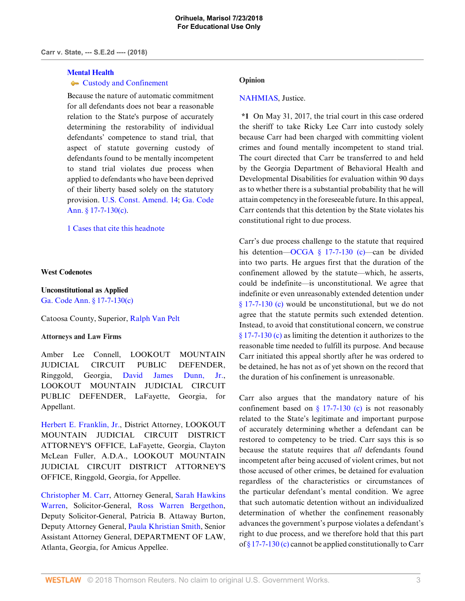#### **[Mental Health](http://www.westlaw.com/Browse/Home/KeyNumber/257A/View.html?docGuid=Ie8e30330731111e8a018fb92467ccf77&originationContext=document&vr=3.0&rs=cblt1.0&transitionType=DocumentItem&contextData=(sc.Keycite))**

# **[Custody and Confinement](http://www.westlaw.com/Browse/Home/KeyNumber/257Ak436/View.html?docGuid=Ie8e30330731111e8a018fb92467ccf77&originationContext=document&vr=3.0&rs=cblt1.0&transitionType=DocumentItem&contextData=(sc.Keycite))**

Because the nature of automatic commitment for all defendants does not bear a reasonable relation to the State's purpose of accurately determining the restorability of individual defendants' competence to stand trial, that aspect of statute governing custody of defendants found to be mentally incompetent to stand trial violates due process when applied to defendants who have been deprived of their liberty based solely on the statutory provision. [U.S. Const. Amend. 14](http://www.westlaw.com/Link/Document/FullText?findType=L&pubNum=1000583&cite=USCOAMENDXIV&originatingDoc=Ie8e30330731111e8a018fb92467ccf77&refType=LQ&originationContext=document&vr=3.0&rs=cblt1.0&transitionType=DocumentItem&contextData=(sc.Keycite)); [Ga. Code](http://www.westlaw.com/Link/Document/FullText?findType=L&pubNum=1000468&cite=GAST17-7-130&originatingDoc=Ie8e30330731111e8a018fb92467ccf77&refType=SP&originationContext=document&vr=3.0&rs=cblt1.0&transitionType=DocumentItem&contextData=(sc.Keycite)#co_pp_4b24000003ba5) [Ann. § 17-7-130\(c\).](http://www.westlaw.com/Link/Document/FullText?findType=L&pubNum=1000468&cite=GAST17-7-130&originatingDoc=Ie8e30330731111e8a018fb92467ccf77&refType=SP&originationContext=document&vr=3.0&rs=cblt1.0&transitionType=DocumentItem&contextData=(sc.Keycite)#co_pp_4b24000003ba5)

[1 Cases that cite this headnote](http://www.westlaw.com/Link/RelatedInformation/DocHeadnoteLink?docGuid=Ie8e30330731111e8a018fb92467ccf77&headnoteId=204475867301120180627141324&originationContext=document&vr=3.0&rs=cblt1.0&transitionType=CitingReferences&contextData=(sc.Keycite))

#### **West Codenotes**

# **Unconstitutional as Applied** [Ga. Code Ann. § 17-7-130\(c\)](http://www.westlaw.com/Link/Document/FullText?findType=L&pubNum=1000468&cite=GAST17-7-130&originatingDoc=Ie8e30330731111e8a018fb92467ccf77&refType=SP&originationContext=document&vr=3.0&rs=cblt1.0&transitionType=DocumentItem&contextData=(sc.Keycite)#co_pp_4b24000003ba5)

## Catoosa County, Superior, [Ralph Van Pelt](http://www.westlaw.com/Link/Document/FullText?findType=h&pubNum=176284&cite=0227003701&originatingDoc=Ie8e30330731111e8a018fb92467ccf77&refType=RQ&originationContext=document&vr=3.0&rs=cblt1.0&transitionType=DocumentItem&contextData=(sc.Keycite))

## **Attorneys and Law Firms**

Amber Lee Connell, LOOKOUT MOUNTAIN JUDICIAL CIRCUIT PUBLIC DEFENDER, Ringgold, Georgia, [David James Dunn, Jr.](http://www.westlaw.com/Link/Document/FullText?findType=h&pubNum=176284&cite=0171042601&originatingDoc=Ie8e30330731111e8a018fb92467ccf77&refType=RQ&originationContext=document&vr=3.0&rs=cblt1.0&transitionType=DocumentItem&contextData=(sc.Keycite)), LOOKOUT MOUNTAIN JUDICIAL CIRCUIT PUBLIC DEFENDER, LaFayette, Georgia, for Appellant.

[Herbert E. Franklin, Jr.,](http://www.westlaw.com/Link/Document/FullText?findType=h&pubNum=176284&cite=0129704801&originatingDoc=Ie8e30330731111e8a018fb92467ccf77&refType=RQ&originationContext=document&vr=3.0&rs=cblt1.0&transitionType=DocumentItem&contextData=(sc.Keycite)) District Attorney, LOOKOUT MOUNTAIN JUDICIAL CIRCUIT DISTRICT ATTORNEY'S OFFICE, LaFayette, Georgia, Clayton McLean Fuller, A.D.A., LOOKOUT MOUNTAIN JUDICIAL CIRCUIT DISTRICT ATTORNEY'S OFFICE, Ringgold, Georgia, for Appellee.

[Christopher M. Carr,](http://www.westlaw.com/Link/Document/FullText?findType=h&pubNum=176284&cite=0503378199&originatingDoc=Ie8e30330731111e8a018fb92467ccf77&refType=RQ&originationContext=document&vr=3.0&rs=cblt1.0&transitionType=DocumentItem&contextData=(sc.Keycite)) Attorney General, [Sarah Hawkins](http://www.westlaw.com/Link/Document/FullText?findType=h&pubNum=176284&cite=0427010601&originatingDoc=Ie8e30330731111e8a018fb92467ccf77&refType=RQ&originationContext=document&vr=3.0&rs=cblt1.0&transitionType=DocumentItem&contextData=(sc.Keycite)) [Warren](http://www.westlaw.com/Link/Document/FullText?findType=h&pubNum=176284&cite=0427010601&originatingDoc=Ie8e30330731111e8a018fb92467ccf77&refType=RQ&originationContext=document&vr=3.0&rs=cblt1.0&transitionType=DocumentItem&contextData=(sc.Keycite)), Solicitor-General, [Ross Warren Bergethon](http://www.westlaw.com/Link/Document/FullText?findType=h&pubNum=176284&cite=0360281201&originatingDoc=Ie8e30330731111e8a018fb92467ccf77&refType=RQ&originationContext=document&vr=3.0&rs=cblt1.0&transitionType=DocumentItem&contextData=(sc.Keycite)), Deputy Solicitor-General, Patricia B. Attaway Burton, Deputy Attorney General, [Paula Khristian Smith](http://www.westlaw.com/Link/Document/FullText?findType=h&pubNum=176284&cite=0226818701&originatingDoc=Ie8e30330731111e8a018fb92467ccf77&refType=RQ&originationContext=document&vr=3.0&rs=cblt1.0&transitionType=DocumentItem&contextData=(sc.Keycite)), Senior Assistant Attorney General, DEPARTMENT OF LAW, Atlanta, Georgia, for Amicus Appellee.

#### **Opinion**

## [NAHMIAS](http://www.westlaw.com/Link/Document/FullText?findType=h&pubNum=176284&cite=0245833301&originatingDoc=Ie8e30330731111e8a018fb92467ccf77&refType=RQ&originationContext=document&vr=3.0&rs=cblt1.0&transitionType=DocumentItem&contextData=(sc.Keycite)), Justice.

**\*1** On May 31, 2017, the trial court in this case ordered the sheriff to take Ricky Lee Carr into custody solely because Carr had been charged with committing violent crimes and found mentally incompetent to stand trial. The court directed that Carr be transferred to and held by the Georgia Department of Behavioral Health and Developmental Disabilities for evaluation within 90 days as to whether there is a substantial probability that he will attain competency in the foreseeable future. In this appeal, Carr contends that this detention by the State violates his constitutional right to due process.

Carr's due process challenge to the statute that required his detention—[OCGA § 17-7-130 \(c\)](http://www.westlaw.com/Link/Document/FullText?findType=L&pubNum=1000468&cite=GAST17-7-130&originatingDoc=Ie8e30330731111e8a018fb92467ccf77&refType=SP&originationContext=document&vr=3.0&rs=cblt1.0&transitionType=DocumentItem&contextData=(sc.Keycite)#co_pp_4b24000003ba5)—can be divided into two parts. He argues first that the duration of the confinement allowed by the statute—which, he asserts, could be indefinite—is unconstitutional. We agree that indefinite or even unreasonably extended detention under [§ 17-7-130 \(c\)](http://www.westlaw.com/Link/Document/FullText?findType=L&pubNum=1000468&cite=GAST17-7-130&originatingDoc=Ie8e30330731111e8a018fb92467ccf77&refType=SP&originationContext=document&vr=3.0&rs=cblt1.0&transitionType=DocumentItem&contextData=(sc.Keycite)#co_pp_4b24000003ba5) would be unconstitutional, but we do not agree that the statute permits such extended detention. Instead, to avoid that constitutional concern, we construe [§ 17-7-130 \(c\)](http://www.westlaw.com/Link/Document/FullText?findType=L&pubNum=1000468&cite=GAST17-7-130&originatingDoc=Ie8e30330731111e8a018fb92467ccf77&refType=SP&originationContext=document&vr=3.0&rs=cblt1.0&transitionType=DocumentItem&contextData=(sc.Keycite)#co_pp_4b24000003ba5) as limiting the detention it authorizes to the reasonable time needed to fulfill its purpose. And because Carr initiated this appeal shortly after he was ordered to be detained, he has not as of yet shown on the record that the duration of his confinement is unreasonable.

Carr also argues that the mandatory nature of his confinement based on  $\S$  17-7-130 (c) is not reasonably related to the State's legitimate and important purpose of accurately determining whether a defendant can be restored to competency to be tried. Carr says this is so because the statute requires that *all* defendants found incompetent after being accused of violent crimes, but not those accused of other crimes, be detained for evaluation regardless of the characteristics or circumstances of the particular defendant's mental condition. We agree that such automatic detention without an individualized determination of whether the confinement reasonably advances the government's purpose violates a defendant's right to due process, and we therefore hold that this part of [§ 17-7-130 \(c\)](http://www.westlaw.com/Link/Document/FullText?findType=L&pubNum=1000468&cite=GAST17-7-130&originatingDoc=Ie8e30330731111e8a018fb92467ccf77&refType=SP&originationContext=document&vr=3.0&rs=cblt1.0&transitionType=DocumentItem&contextData=(sc.Keycite)#co_pp_4b24000003ba5) cannot be applied constitutionally to Carr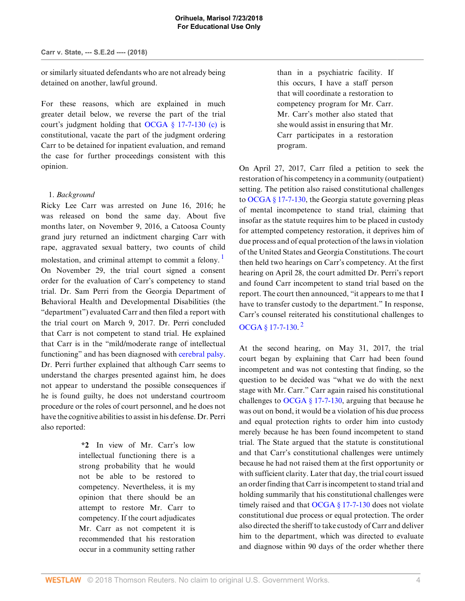or similarly situated defendants who are not already being detained on another, lawful ground.

For these reasons, which are explained in much greater detail below, we reverse the part of the trial court's judgment holding that [OCGA § 17-7-130 \(c\)](http://www.westlaw.com/Link/Document/FullText?findType=L&pubNum=1000468&cite=GAST17-7-130&originatingDoc=Ie8e30330731111e8a018fb92467ccf77&refType=SP&originationContext=document&vr=3.0&rs=cblt1.0&transitionType=DocumentItem&contextData=(sc.Keycite)#co_pp_4b24000003ba5) is constitutional, vacate the part of the judgment ordering Carr to be detained for inpatient evaluation, and remand the case for further proceedings consistent with this opinion.

# 1. *Background*

Ricky Lee Carr was arrested on June 16, 2016; he was released on bond the same day. About five months later, on November 9, 2016, a Catoosa County grand jury returned an indictment charging Carr with rape, aggravated sexual battery, two counts of child molestation, and criminal attempt to commit a felony.<sup>[1](#page-11-0)</sup> On November 29, the trial court signed a consent order for the evaluation of Carr's competency to stand trial. Dr. Sam Perri from the Georgia Department of Behavioral Health and Developmental Disabilities (the "department") evaluated Carr and then filed a report with the trial court on March 9, 2017. Dr. Perri concluded that Carr is not competent to stand trial. He explained that Carr is in the "mild/moderate range of intellectual functioning" and has been diagnosed with [cerebral palsy](http://www.westlaw.com/Link/Document/FullText?entityType=disease&entityId=Ib778706e475411db9765f9243f53508a&originationContext=document&transitionType=DocumentItem&contextData=(sc.Default)&vr=3.0&rs=cblt1.0). Dr. Perri further explained that although Carr seems to understand the charges presented against him, he does not appear to understand the possible consequences if he is found guilty, he does not understand courtroom procedure or the roles of court personnel, and he does not have the cognitive abilities to assist in his defense. Dr. Perri also reported:

> **\*2** In view of Mr. Carr's low intellectual functioning there is a strong probability that he would not be able to be restored to competency. Nevertheless, it is my opinion that there should be an attempt to restore Mr. Carr to competency. If the court adjudicates Mr. Carr as not competent it is recommended that his restoration occur in a community setting rather

than in a psychiatric facility. If this occurs, I have a staff person that will coordinate a restoration to competency program for Mr. Carr. Mr. Carr's mother also stated that she would assist in ensuring that Mr. Carr participates in a restoration program.

<span id="page-3-0"></span>On April 27, 2017, Carr filed a petition to seek the restoration of his competency in a community (outpatient) setting. The petition also raised constitutional challenges to [OCGA § 17-7-130,](http://www.westlaw.com/Link/Document/FullText?findType=L&pubNum=1000468&cite=GAST17-7-130&originatingDoc=Ie8e30330731111e8a018fb92467ccf77&refType=LQ&originationContext=document&vr=3.0&rs=cblt1.0&transitionType=DocumentItem&contextData=(sc.Keycite)) the Georgia statute governing pleas of mental incompetence to stand trial, claiming that insofar as the statute requires him to be placed in custody for attempted competency restoration, it deprives him of due process and of equal protection of the laws in violation of the United States and Georgia Constitutions. The court then held two hearings on Carr's competency. At the first hearing on April 28, the court admitted Dr. Perri's report and found Carr incompetent to stand trial based on the report. The court then announced, "it appears to me that I have to transfer custody to the department." In response, Carr's counsel reiterated his constitutional challenges to [OCGA § 17-7-130](http://www.westlaw.com/Link/Document/FullText?findType=L&pubNum=1000468&cite=GAST17-7-130&originatingDoc=Ie8e30330731111e8a018fb92467ccf77&refType=LQ&originationContext=document&vr=3.0&rs=cblt1.0&transitionType=DocumentItem&contextData=(sc.Keycite)).<sup>[2](#page-11-1)</sup>

<span id="page-3-1"></span>At the second hearing, on May 31, 2017, the trial court began by explaining that Carr had been found incompetent and was not contesting that finding, so the question to be decided was "what we do with the next stage with Mr. Carr." Carr again raised his constitutional challenges to OCGA  $\S$  17-7-130, arguing that because he was out on bond, it would be a violation of his due process and equal protection rights to order him into custody merely because he has been found incompetent to stand trial. The State argued that the statute is constitutional and that Carr's constitutional challenges were untimely because he had not raised them at the first opportunity or with sufficient clarity. Later that day, the trial court issued an order finding that Carr is incompetent to stand trial and holding summarily that his constitutional challenges were timely raised and that [OCGA § 17-7-130](http://www.westlaw.com/Link/Document/FullText?findType=L&pubNum=1000468&cite=GAST17-7-130&originatingDoc=Ie8e30330731111e8a018fb92467ccf77&refType=LQ&originationContext=document&vr=3.0&rs=cblt1.0&transitionType=DocumentItem&contextData=(sc.Keycite)) does not violate constitutional due process or equal protection. The order also directed the sheriff to take custody of Carr and deliver him to the department, which was directed to evaluate and diagnose within 90 days of the order whether there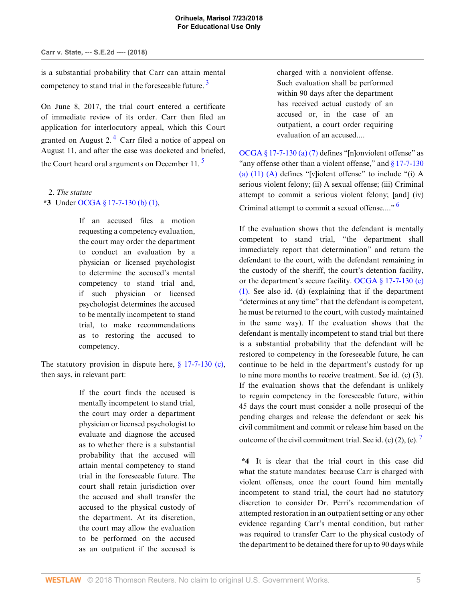is a substantial probability that Carr can attain mental competency to stand trial in the foreseeable future.  $3$ 

<span id="page-4-1"></span>On June 8, 2017, the trial court entered a certificate of immediate review of its order. Carr then filed an application for interlocutory appeal, which this Court granted on August 2.<sup>[4](#page-11-3)</sup> Carr filed a notice of appeal on August 11, and after the case was docketed and briefed, the Court heard oral arguments on December 11. $<sup>5</sup>$  $<sup>5</sup>$  $<sup>5</sup>$ </sup>

2. *The statute* **\*3** Under [OCGA § 17-7-130 \(b\) \(1\),](http://www.westlaw.com/Link/Document/FullText?findType=L&pubNum=1000468&cite=GAST17-7-130&originatingDoc=Ie8e30330731111e8a018fb92467ccf77&refType=SP&originationContext=document&vr=3.0&rs=cblt1.0&transitionType=DocumentItem&contextData=(sc.Keycite)#co_pp_a83b000018c76)

> If an accused files a motion requesting a competency evaluation, the court may order the department to conduct an evaluation by a physician or licensed psychologist to determine the accused's mental competency to stand trial and, if such physician or licensed psychologist determines the accused to be mentally incompetent to stand trial, to make recommendations as to restoring the accused to competency.

The statutory provision in dispute here,  $\S$  17-7-130 (c), then says, in relevant part:

> If the court finds the accused is mentally incompetent to stand trial, the court may order a department physician or licensed psychologist to evaluate and diagnose the accused as to whether there is a substantial probability that the accused will attain mental competency to stand trial in the foreseeable future. The court shall retain jurisdiction over the accused and shall transfer the accused to the physical custody of the department. At its discretion, the court may allow the evaluation to be performed on the accused as an outpatient if the accused is

<span id="page-4-0"></span>charged with a nonviolent offense. Such evaluation shall be performed within 90 days after the department has received actual custody of an accused or, in the case of an outpatient, a court order requiring evaluation of an accused....

<span id="page-4-2"></span>[OCGA § 17-7-130 \(a\) \(7\)](http://www.westlaw.com/Link/Document/FullText?findType=L&pubNum=1000468&cite=GAST17-7-130&originatingDoc=Ie8e30330731111e8a018fb92467ccf77&refType=SP&originationContext=document&vr=3.0&rs=cblt1.0&transitionType=DocumentItem&contextData=(sc.Keycite)#co_pp_8b3b0000958a4) defines "[n]onviolent offense" as "any offense other than a violent offense," and  $\S 17$ -7-130 (a)  $(11)$   $(A)$  defines "[v]iolent offense" to include "(i) A serious violent felony; (ii) A sexual offense; (iii) Criminal attempt to commit a serious violent felony; [and] (iv) Criminal attempt to commit a sexual offense...."<sup>[6](#page-11-5)</sup>

<span id="page-4-3"></span>If the evaluation shows that the defendant is mentally competent to stand trial, "the department shall immediately report that determination" and return the defendant to the court, with the defendant remaining in the custody of the sheriff, the court's detention facility, or the department's secure facility. [OCGA § 17-7-130 \(c\)](http://www.westlaw.com/Link/Document/FullText?findType=L&pubNum=1000468&cite=GAST17-7-130&originatingDoc=Ie8e30330731111e8a018fb92467ccf77&refType=SP&originationContext=document&vr=3.0&rs=cblt1.0&transitionType=DocumentItem&contextData=(sc.Keycite)#co_pp_4b24000003ba5) [\(1\).](http://www.westlaw.com/Link/Document/FullText?findType=L&pubNum=1000468&cite=GAST17-7-130&originatingDoc=Ie8e30330731111e8a018fb92467ccf77&refType=SP&originationContext=document&vr=3.0&rs=cblt1.0&transitionType=DocumentItem&contextData=(sc.Keycite)#co_pp_4b24000003ba5) See also id. (d) (explaining that if the department "determines at any time" that the defendant is competent, he must be returned to the court, with custody maintained in the same way). If the evaluation shows that the defendant is mentally incompetent to stand trial but there is a substantial probability that the defendant will be restored to competency in the foreseeable future, he can continue to be held in the department's custody for up to nine more months to receive treatment. See id. (c) (3). If the evaluation shows that the defendant is unlikely to regain competency in the foreseeable future, within 45 days the court must consider a nolle prosequi of the pending charges and release the defendant or seek his civil commitment and commit or release him based on the outcome of the civil commitment trial. See id. (c)  $(2)$ , (e).

<span id="page-4-4"></span>**\*4** It is clear that the trial court in this case did what the statute mandates: because Carr is charged with violent offenses, once the court found him mentally incompetent to stand trial, the court had no statutory discretion to consider Dr. Perri's recommendation of attempted restoration in an outpatient setting or any other evidence regarding Carr's mental condition, but rather was required to transfer Carr to the physical custody of the department to be detained there for up to 90 days while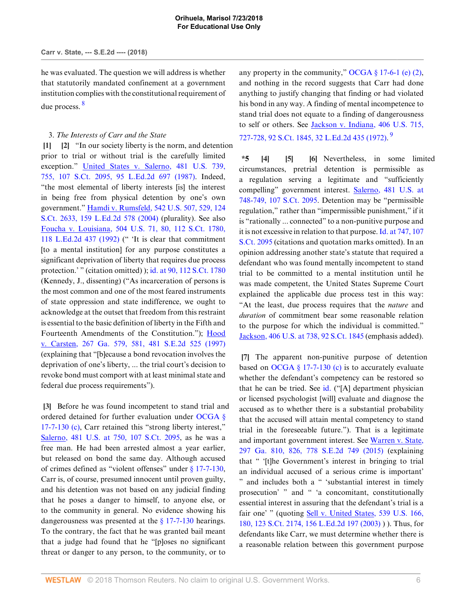he was evaluated. The question we will address is whether that statutorily mandated confinement at a government institution complies with the constitutional requirement of due process. [8](#page-11-7)

# <span id="page-5-7"></span><span id="page-5-1"></span><span id="page-5-0"></span>3. *The Interests of Carr and the State*

**[\[1](#page-0-0)] [\[2](#page-0-1)]** "In our society liberty is the norm, and detention prior to trial or without trial is the carefully limited exception." [United States v. Salerno, 481 U.S. 739,](http://www.westlaw.com/Link/Document/FullText?findType=Y&serNum=1987064904&pubNum=0000708&originatingDoc=Ie8e30330731111e8a018fb92467ccf77&refType=RP&originationContext=document&vr=3.0&rs=cblt1.0&transitionType=DocumentItem&contextData=(sc.Keycite)) [755, 107 S.Ct. 2095, 95 L.Ed.2d 697 \(1987\).](http://www.westlaw.com/Link/Document/FullText?findType=Y&serNum=1987064904&pubNum=0000708&originatingDoc=Ie8e30330731111e8a018fb92467ccf77&refType=RP&originationContext=document&vr=3.0&rs=cblt1.0&transitionType=DocumentItem&contextData=(sc.Keycite)) Indeed, "the most elemental of liberty interests [is] the interest in being free from physical detention by one's own government." [Hamdi v. Rumsfeld, 542 U.S. 507, 529, 124](http://www.westlaw.com/Link/Document/FullText?findType=Y&serNum=2004633622&pubNum=0000708&originatingDoc=Ie8e30330731111e8a018fb92467ccf77&refType=RP&originationContext=document&vr=3.0&rs=cblt1.0&transitionType=DocumentItem&contextData=(sc.Keycite)) [S.Ct. 2633, 159 L.Ed.2d 578 \(2004\)](http://www.westlaw.com/Link/Document/FullText?findType=Y&serNum=2004633622&pubNum=0000708&originatingDoc=Ie8e30330731111e8a018fb92467ccf77&refType=RP&originationContext=document&vr=3.0&rs=cblt1.0&transitionType=DocumentItem&contextData=(sc.Keycite)) (plurality). See also [Foucha v. Louisiana, 504 U.S. 71, 80, 112 S.Ct. 1780,](http://www.westlaw.com/Link/Document/FullText?findType=Y&serNum=1992092153&pubNum=0000708&originatingDoc=Ie8e30330731111e8a018fb92467ccf77&refType=RP&originationContext=document&vr=3.0&rs=cblt1.0&transitionType=DocumentItem&contextData=(sc.Keycite)) [118 L.Ed.2d 437 \(1992\)](http://www.westlaw.com/Link/Document/FullText?findType=Y&serNum=1992092153&pubNum=0000708&originatingDoc=Ie8e30330731111e8a018fb92467ccf77&refType=RP&originationContext=document&vr=3.0&rs=cblt1.0&transitionType=DocumentItem&contextData=(sc.Keycite)) (" 'It is clear that commitment [to a mental institution] for any purpose constitutes a significant deprivation of liberty that requires due process protection.' " (citation omitted) ); [id. at 90, 112 S.Ct. 1780](http://www.westlaw.com/Link/Document/FullText?findType=Y&serNum=1992092153&pubNum=0000708&originatingDoc=Ie8e30330731111e8a018fb92467ccf77&refType=RP&fi=co_pp_sp_708_90&originationContext=document&vr=3.0&rs=cblt1.0&transitionType=DocumentItem&contextData=(sc.Keycite)#co_pp_sp_708_90) (Kennedy, J., dissenting) ("As incarceration of persons is the most common and one of the most feared instruments of state oppression and state indifference, we ought to acknowledge at the outset that freedom from this restraint is essential to the basic definition of liberty in the Fifth and Fourteenth Amendments of the Constitution."); [Hood](http://www.westlaw.com/Link/Document/FullText?findType=Y&serNum=1997066520&pubNum=0000711&originatingDoc=Ie8e30330731111e8a018fb92467ccf77&refType=RP&originationContext=document&vr=3.0&rs=cblt1.0&transitionType=DocumentItem&contextData=(sc.Keycite)) [v. Carsten, 267 Ga. 579, 581, 481 S.E.2d 525 \(1997\)](http://www.westlaw.com/Link/Document/FullText?findType=Y&serNum=1997066520&pubNum=0000711&originatingDoc=Ie8e30330731111e8a018fb92467ccf77&refType=RP&originationContext=document&vr=3.0&rs=cblt1.0&transitionType=DocumentItem&contextData=(sc.Keycite)) (explaining that "[b]ecause a bond revocation involves the deprivation of one's liberty, ... the trial court's decision to revoke bond must comport with at least minimal state and federal due process requirements").

<span id="page-5-2"></span>**[\[3](#page-0-2)]** Before he was found incompetent to stand trial and ordered detained for further evaluation under [OCGA §](http://www.westlaw.com/Link/Document/FullText?findType=L&pubNum=1000468&cite=GAST17-7-130&originatingDoc=Ie8e30330731111e8a018fb92467ccf77&refType=SP&originationContext=document&vr=3.0&rs=cblt1.0&transitionType=DocumentItem&contextData=(sc.Keycite)#co_pp_4b24000003ba5) [17-7-130 \(c\)](http://www.westlaw.com/Link/Document/FullText?findType=L&pubNum=1000468&cite=GAST17-7-130&originatingDoc=Ie8e30330731111e8a018fb92467ccf77&refType=SP&originationContext=document&vr=3.0&rs=cblt1.0&transitionType=DocumentItem&contextData=(sc.Keycite)#co_pp_4b24000003ba5), Carr retained this "strong liberty interest," [Salerno, 481 U.S. at 750, 107 S.Ct. 2095,](http://www.westlaw.com/Link/Document/FullText?findType=Y&serNum=1987064904&pubNum=0000780&originatingDoc=Ie8e30330731111e8a018fb92467ccf77&refType=RP&fi=co_pp_sp_780_750&originationContext=document&vr=3.0&rs=cblt1.0&transitionType=DocumentItem&contextData=(sc.Keycite)#co_pp_sp_780_750) as he was a free man. He had been arrested almost a year earlier, but released on bond the same day. Although accused of crimes defined as "violent offenses" under [§ 17-7-130](http://www.westlaw.com/Link/Document/FullText?findType=L&pubNum=1000468&cite=GAST17-7-130&originatingDoc=Ie8e30330731111e8a018fb92467ccf77&refType=LQ&originationContext=document&vr=3.0&rs=cblt1.0&transitionType=DocumentItem&contextData=(sc.Keycite)), Carr is, of course, presumed innocent until proven guilty, and his detention was not based on any judicial finding that he poses a danger to himself, to anyone else, or to the community in general. No evidence showing his dangerousness was presented at the  $\S$  17-7-130 hearings. To the contrary, the fact that he was granted bail meant that a judge had found that he "[p]oses no significant threat or danger to any person, to the community, or to

any property in the community," OCGA  $\S 17-6-1$  (e) (2), and nothing in the record suggests that Carr had done anything to justify changing that finding or had violated his bond in any way. A finding of mental incompetence to stand trial does not equate to a finding of dangerousness to self or others. See [Jackson v. Indiana, 406 U.S. 715,](http://www.westlaw.com/Link/Document/FullText?findType=Y&serNum=1972127136&pubNum=0000708&originatingDoc=Ie8e30330731111e8a018fb92467ccf77&refType=RP&originationContext=document&vr=3.0&rs=cblt1.0&transitionType=DocumentItem&contextData=(sc.Keycite)) [727-728, 92 S.Ct. 1845, 32 L.Ed.2d 435 \(1972\)](http://www.westlaw.com/Link/Document/FullText?findType=Y&serNum=1972127136&pubNum=0000708&originatingDoc=Ie8e30330731111e8a018fb92467ccf77&refType=RP&originationContext=document&vr=3.0&rs=cblt1.0&transitionType=DocumentItem&contextData=(sc.Keycite)). <sup>[9](#page-12-0)</sup>

<span id="page-5-8"></span><span id="page-5-5"></span><span id="page-5-4"></span><span id="page-5-3"></span>**\*5 [\[4\]](#page-0-3) [\[5](#page-0-4)] [\[6](#page-0-5)]** Nevertheless, in some limited circumstances, pretrial detention is permissible as a regulation serving a legitimate and "sufficiently compelling" government interest. [Salerno, 481 U.S. at](http://www.westlaw.com/Link/Document/FullText?findType=Y&serNum=1987064904&pubNum=0000780&originatingDoc=Ie8e30330731111e8a018fb92467ccf77&refType=RP&fi=co_pp_sp_780_748&originationContext=document&vr=3.0&rs=cblt1.0&transitionType=DocumentItem&contextData=(sc.Keycite)#co_pp_sp_780_748) [748-749, 107 S.Ct. 2095.](http://www.westlaw.com/Link/Document/FullText?findType=Y&serNum=1987064904&pubNum=0000780&originatingDoc=Ie8e30330731111e8a018fb92467ccf77&refType=RP&fi=co_pp_sp_780_748&originationContext=document&vr=3.0&rs=cblt1.0&transitionType=DocumentItem&contextData=(sc.Keycite)#co_pp_sp_780_748) Detention may be "permissible regulation," rather than "impermissible punishment," if it is "rationally ... connected" to a non-punitive purpose and it is not excessive in relation to that purpose. [Id. at 747, 107](http://www.westlaw.com/Link/Document/FullText?findType=Y&serNum=1987064904&pubNum=0000708&originatingDoc=Ie8e30330731111e8a018fb92467ccf77&refType=RP&fi=co_pp_sp_708_747&originationContext=document&vr=3.0&rs=cblt1.0&transitionType=DocumentItem&contextData=(sc.Keycite)#co_pp_sp_708_747) [S.Ct. 2095](http://www.westlaw.com/Link/Document/FullText?findType=Y&serNum=1987064904&pubNum=0000708&originatingDoc=Ie8e30330731111e8a018fb92467ccf77&refType=RP&fi=co_pp_sp_708_747&originationContext=document&vr=3.0&rs=cblt1.0&transitionType=DocumentItem&contextData=(sc.Keycite)#co_pp_sp_708_747) (citations and quotation marks omitted). In an opinion addressing another state's statute that required a defendant who was found mentally incompetent to stand trial to be committed to a mental institution until he was made competent, the United States Supreme Court explained the applicable due process test in this way: "At the least, due process requires that the *nature* and *duration* of commitment bear some reasonable relation to the purpose for which the individual is committed." [Jackson, 406 U.S. at 738, 92 S.Ct. 1845](http://www.westlaw.com/Link/Document/FullText?findType=Y&serNum=1972127136&pubNum=0000780&originatingDoc=Ie8e30330731111e8a018fb92467ccf77&refType=RP&fi=co_pp_sp_780_738&originationContext=document&vr=3.0&rs=cblt1.0&transitionType=DocumentItem&contextData=(sc.Keycite)#co_pp_sp_780_738) (emphasis added).

<span id="page-5-6"></span>**[\[7](#page-1-2)]** The apparent non-punitive purpose of detention based on OCGA  $\S$  17-7-130 (c) is to accurately evaluate whether the defendant's competency can be restored so that he can be tried. See [id.](http://www.westlaw.com/Link/Document/FullText?findType=Y&serNum=1972127136&pubNum=0000780&originatingDoc=Ie8e30330731111e8a018fb92467ccf77&refType=RP&originationContext=document&vr=3.0&rs=cblt1.0&transitionType=DocumentItem&contextData=(sc.Keycite)) ("[A] department physician or licensed psychologist [will] evaluate and diagnose the accused as to whether there is a substantial probability that the accused will attain mental competency to stand trial in the foreseeable future."). That is a legitimate and important government interest. See [Warren v. State,](http://www.westlaw.com/Link/Document/FullText?findType=Y&serNum=2037406755&pubNum=0000711&originatingDoc=Ie8e30330731111e8a018fb92467ccf77&refType=RP&originationContext=document&vr=3.0&rs=cblt1.0&transitionType=DocumentItem&contextData=(sc.Keycite)) [297 Ga. 810, 826, 778 S.E.2d 749 \(2015\)](http://www.westlaw.com/Link/Document/FullText?findType=Y&serNum=2037406755&pubNum=0000711&originatingDoc=Ie8e30330731111e8a018fb92467ccf77&refType=RP&originationContext=document&vr=3.0&rs=cblt1.0&transitionType=DocumentItem&contextData=(sc.Keycite)) (explaining that " '[t]he Government's interest in bringing to trial an individual accused of a serious crime is important' " and includes both a " 'substantial interest in timely prosecution' " and " 'a concomitant, constitutionally essential interest in assuring that the defendant's trial is a fair one' " (quoting [Sell v. United States, 539 U.S. 166,](http://www.westlaw.com/Link/Document/FullText?findType=Y&serNum=2003428187&pubNum=0000708&originatingDoc=Ie8e30330731111e8a018fb92467ccf77&refType=RP&originationContext=document&vr=3.0&rs=cblt1.0&transitionType=DocumentItem&contextData=(sc.Keycite)) [180, 123 S.Ct. 2174, 156 L.Ed.2d 197 \(2003\)](http://www.westlaw.com/Link/Document/FullText?findType=Y&serNum=2003428187&pubNum=0000708&originatingDoc=Ie8e30330731111e8a018fb92467ccf77&refType=RP&originationContext=document&vr=3.0&rs=cblt1.0&transitionType=DocumentItem&contextData=(sc.Keycite)) ) ). Thus, for defendants like Carr, we must determine whether there is a reasonable relation between this government purpose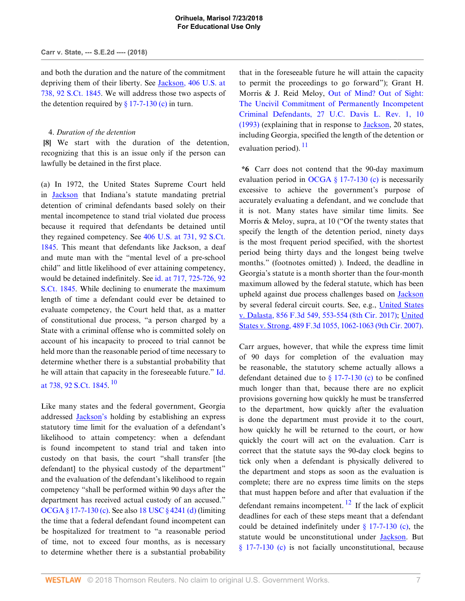and both the duration and the nature of the commitment depriving them of their liberty. See [Jackson, 406 U.S. at](http://www.westlaw.com/Link/Document/FullText?findType=Y&serNum=1972127136&pubNum=0000780&originatingDoc=Ie8e30330731111e8a018fb92467ccf77&refType=RP&fi=co_pp_sp_780_738&originationContext=document&vr=3.0&rs=cblt1.0&transitionType=DocumentItem&contextData=(sc.Keycite)#co_pp_sp_780_738) [738, 92 S.Ct. 1845.](http://www.westlaw.com/Link/Document/FullText?findType=Y&serNum=1972127136&pubNum=0000780&originatingDoc=Ie8e30330731111e8a018fb92467ccf77&refType=RP&fi=co_pp_sp_780_738&originationContext=document&vr=3.0&rs=cblt1.0&transitionType=DocumentItem&contextData=(sc.Keycite)#co_pp_sp_780_738) We will address those two aspects of the detention required by  $\S$  17-7-130 (c) in turn.

## <span id="page-6-0"></span>4. *Duration of the detention*

**[\[8](#page-1-0)]** We start with the duration of the detention, recognizing that this is an issue only if the person can lawfully be detained in the first place.

(a) In 1972, the United States Supreme Court held in [Jackson](http://www.westlaw.com/Link/Document/FullText?findType=Y&serNum=1972127136&pubNum=0000708&originatingDoc=Ie8e30330731111e8a018fb92467ccf77&refType=RP&originationContext=document&vr=3.0&rs=cblt1.0&transitionType=DocumentItem&contextData=(sc.Keycite)) that Indiana's statute mandating pretrial detention of criminal defendants based solely on their mental incompetence to stand trial violated due process because it required that defendants be detained until they regained competency. See [406 U.S. at 731, 92 S.Ct.](http://www.westlaw.com/Link/Document/FullText?findType=Y&serNum=1972127136&pubNum=0000780&originatingDoc=Ie8e30330731111e8a018fb92467ccf77&refType=RP&fi=co_pp_sp_780_731&originationContext=document&vr=3.0&rs=cblt1.0&transitionType=DocumentItem&contextData=(sc.Keycite)#co_pp_sp_780_731) [1845](http://www.westlaw.com/Link/Document/FullText?findType=Y&serNum=1972127136&pubNum=0000780&originatingDoc=Ie8e30330731111e8a018fb92467ccf77&refType=RP&fi=co_pp_sp_780_731&originationContext=document&vr=3.0&rs=cblt1.0&transitionType=DocumentItem&contextData=(sc.Keycite)#co_pp_sp_780_731). This meant that defendants like Jackson, a deaf and mute man with the "mental level of a pre-school child" and little likelihood of ever attaining competency, would be detained indefinitely. See [id. at 717, 725-726, 92](http://www.westlaw.com/Link/Document/FullText?findType=Y&serNum=1972127136&pubNum=0000708&originatingDoc=Ie8e30330731111e8a018fb92467ccf77&refType=RP&fi=co_pp_sp_708_717&originationContext=document&vr=3.0&rs=cblt1.0&transitionType=DocumentItem&contextData=(sc.Keycite)#co_pp_sp_708_717) [S.Ct. 1845](http://www.westlaw.com/Link/Document/FullText?findType=Y&serNum=1972127136&pubNum=0000708&originatingDoc=Ie8e30330731111e8a018fb92467ccf77&refType=RP&fi=co_pp_sp_708_717&originationContext=document&vr=3.0&rs=cblt1.0&transitionType=DocumentItem&contextData=(sc.Keycite)#co_pp_sp_708_717). While declining to enumerate the maximum length of time a defendant could ever be detained to evaluate competency, the Court held that, as a matter of constitutional due process, "a person charged by a State with a criminal offense who is committed solely on account of his incapacity to proceed to trial cannot be held more than the reasonable period of time necessary to determine whether there is a substantial probability that he will attain that capacity in the foreseeable future." [Id.](http://www.westlaw.com/Link/Document/FullText?findType=Y&serNum=1972127136&pubNum=0000708&originatingDoc=Ie8e30330731111e8a018fb92467ccf77&refType=RP&fi=co_pp_sp_708_738&originationContext=document&vr=3.0&rs=cblt1.0&transitionType=DocumentItem&contextData=(sc.Keycite)#co_pp_sp_708_738) [at 738, 92 S.Ct. 1845.](http://www.westlaw.com/Link/Document/FullText?findType=Y&serNum=1972127136&pubNum=0000708&originatingDoc=Ie8e30330731111e8a018fb92467ccf77&refType=RP&fi=co_pp_sp_708_738&originationContext=document&vr=3.0&rs=cblt1.0&transitionType=DocumentItem&contextData=(sc.Keycite)#co_pp_sp_708_738) <sup>[10](#page-12-1)</sup>

<span id="page-6-1"></span>Like many states and the federal government, Georgia addressed [Jackson's](http://www.westlaw.com/Link/Document/FullText?findType=Y&serNum=1972127136&originatingDoc=Ie8e30330731111e8a018fb92467ccf77&refType=RP&originationContext=document&vr=3.0&rs=cblt1.0&transitionType=DocumentItem&contextData=(sc.Keycite)) holding by establishing an express statutory time limit for the evaluation of a defendant's likelihood to attain competency: when a defendant is found incompetent to stand trial and taken into custody on that basis, the court "shall transfer [the defendant] to the physical custody of the department" and the evaluation of the defendant's likelihood to regain competency "shall be performed within 90 days after the department has received actual custody of an accused." [OCGA § 17-7-130 \(c\).](http://www.westlaw.com/Link/Document/FullText?findType=L&pubNum=1000468&cite=GAST17-7-130&originatingDoc=Ie8e30330731111e8a018fb92467ccf77&refType=SP&originationContext=document&vr=3.0&rs=cblt1.0&transitionType=DocumentItem&contextData=(sc.Keycite)#co_pp_4b24000003ba5) See also [18 USC § 4241 \(d\)](http://www.westlaw.com/Link/Document/FullText?findType=L&pubNum=1000546&cite=18USCAS4241&originatingDoc=Ie8e30330731111e8a018fb92467ccf77&refType=SP&originationContext=document&vr=3.0&rs=cblt1.0&transitionType=DocumentItem&contextData=(sc.Keycite)#co_pp_5ba1000067d06) (limiting the time that a federal defendant found incompetent can be hospitalized for treatment to "a reasonable period of time, not to exceed four months, as is necessary to determine whether there is a substantial probability that in the foreseeable future he will attain the capacity to permit the proceedings to go forward"); Grant H. Morris & J. Reid Meloy, [Out of Mind? Out of Sight:](http://www.westlaw.com/Link/Document/FullText?findType=Y&serNum=0103292536&pubNum=0002779&originatingDoc=Ie8e30330731111e8a018fb92467ccf77&refType=LR&fi=co_pp_sp_2779_10&originationContext=document&vr=3.0&rs=cblt1.0&transitionType=DocumentItem&contextData=(sc.Keycite)#co_pp_sp_2779_10) [The Uncivil Commitment of Permanently Incompetent](http://www.westlaw.com/Link/Document/FullText?findType=Y&serNum=0103292536&pubNum=0002779&originatingDoc=Ie8e30330731111e8a018fb92467ccf77&refType=LR&fi=co_pp_sp_2779_10&originationContext=document&vr=3.0&rs=cblt1.0&transitionType=DocumentItem&contextData=(sc.Keycite)#co_pp_sp_2779_10) [Criminal Defendants, 27 U.C. Davis L. Rev. 1, 10](http://www.westlaw.com/Link/Document/FullText?findType=Y&serNum=0103292536&pubNum=0002779&originatingDoc=Ie8e30330731111e8a018fb92467ccf77&refType=LR&fi=co_pp_sp_2779_10&originationContext=document&vr=3.0&rs=cblt1.0&transitionType=DocumentItem&contextData=(sc.Keycite)#co_pp_sp_2779_10) [\(1993\)](http://www.westlaw.com/Link/Document/FullText?findType=Y&serNum=0103292536&pubNum=0002779&originatingDoc=Ie8e30330731111e8a018fb92467ccf77&refType=LR&fi=co_pp_sp_2779_10&originationContext=document&vr=3.0&rs=cblt1.0&transitionType=DocumentItem&contextData=(sc.Keycite)#co_pp_sp_2779_10) (explaining that in response to [Jackson,](http://www.westlaw.com/Link/Document/FullText?findType=Y&serNum=1972127136&originatingDoc=Ie8e30330731111e8a018fb92467ccf77&refType=RP&originationContext=document&vr=3.0&rs=cblt1.0&transitionType=DocumentItem&contextData=(sc.Keycite)) 20 states, including Georgia, specified the length of the detention or evaluation period).  $^{11}$  $^{11}$  $^{11}$ 

<span id="page-6-2"></span>**\*6** Carr does not contend that the 90-day maximum evaluation period in [OCGA § 17-7-130 \(c\)](http://www.westlaw.com/Link/Document/FullText?findType=L&pubNum=1000468&cite=GAST17-7-130&originatingDoc=Ie8e30330731111e8a018fb92467ccf77&refType=SP&originationContext=document&vr=3.0&rs=cblt1.0&transitionType=DocumentItem&contextData=(sc.Keycite)#co_pp_4b24000003ba5) is necessarily excessive to achieve the government's purpose of accurately evaluating a defendant, and we conclude that it is not. Many states have similar time limits. See Morris & Meloy, supra, at 10 ("Of the twenty states that specify the length of the detention period, ninety days is the most frequent period specified, with the shortest period being thirty days and the longest being twelve months." (footnotes omitted) ). Indeed, the deadline in Georgia's statute is a month shorter than the four-month maximum allowed by the federal statute, which has been upheld against due process challenges based on [Jackson](http://www.westlaw.com/Link/Document/FullText?findType=Y&serNum=1972127136&originatingDoc=Ie8e30330731111e8a018fb92467ccf77&refType=RP&originationContext=document&vr=3.0&rs=cblt1.0&transitionType=DocumentItem&contextData=(sc.Keycite)) by several federal circuit courts. See, e.g., [United States](http://www.westlaw.com/Link/Document/FullText?findType=Y&serNum=2041597501&pubNum=0000506&originatingDoc=Ie8e30330731111e8a018fb92467ccf77&refType=RP&fi=co_pp_sp_506_553&originationContext=document&vr=3.0&rs=cblt1.0&transitionType=DocumentItem&contextData=(sc.Keycite)#co_pp_sp_506_553) [v. Dalasta, 856 F.3d 549, 553-554 \(8th Cir. 2017\);](http://www.westlaw.com/Link/Document/FullText?findType=Y&serNum=2041597501&pubNum=0000506&originatingDoc=Ie8e30330731111e8a018fb92467ccf77&refType=RP&fi=co_pp_sp_506_553&originationContext=document&vr=3.0&rs=cblt1.0&transitionType=DocumentItem&contextData=(sc.Keycite)#co_pp_sp_506_553) [United](http://www.westlaw.com/Link/Document/FullText?findType=Y&serNum=2012447442&pubNum=0000506&originatingDoc=Ie8e30330731111e8a018fb92467ccf77&refType=RP&fi=co_pp_sp_506_1062&originationContext=document&vr=3.0&rs=cblt1.0&transitionType=DocumentItem&contextData=(sc.Keycite)#co_pp_sp_506_1062) [States v. Strong, 489 F.3d 1055, 1062-1063 \(9th Cir. 2007\)](http://www.westlaw.com/Link/Document/FullText?findType=Y&serNum=2012447442&pubNum=0000506&originatingDoc=Ie8e30330731111e8a018fb92467ccf77&refType=RP&fi=co_pp_sp_506_1062&originationContext=document&vr=3.0&rs=cblt1.0&transitionType=DocumentItem&contextData=(sc.Keycite)#co_pp_sp_506_1062).

<span id="page-6-3"></span>Carr argues, however, that while the express time limit of 90 days for completion of the evaluation may be reasonable, the statutory scheme actually allows a defendant detained due to  $\S$  17-7-130 (c) to be confined much longer than that, because there are no explicit provisions governing how quickly he must be transferred to the department, how quickly after the evaluation is done the department must provide it to the court, how quickly he will be returned to the court, or how quickly the court will act on the evaluation. Carr is correct that the statute says the 90-day clock begins to tick only when a defendant is physically delivered to the department and stops as soon as the evaluation is complete; there are no express time limits on the steps that must happen before and after that evaluation if the defendant remains incompetent.  $^{12}$  $^{12}$  $^{12}$  If the lack of explicit deadlines for each of these steps meant that a defendant could be detained indefinitely under  $\S$  17-7-130 (c), the statute would be unconstitutional under [Jackson.](http://www.westlaw.com/Link/Document/FullText?findType=Y&serNum=1972127136&originatingDoc=Ie8e30330731111e8a018fb92467ccf77&refType=RP&originationContext=document&vr=3.0&rs=cblt1.0&transitionType=DocumentItem&contextData=(sc.Keycite)) But [§ 17-7-130 \(c\)](http://www.westlaw.com/Link/Document/FullText?findType=L&pubNum=1000468&cite=GAST17-7-130&originatingDoc=Ie8e30330731111e8a018fb92467ccf77&refType=SP&originationContext=document&vr=3.0&rs=cblt1.0&transitionType=DocumentItem&contextData=(sc.Keycite)#co_pp_4b24000003ba5) is not facially unconstitutional, because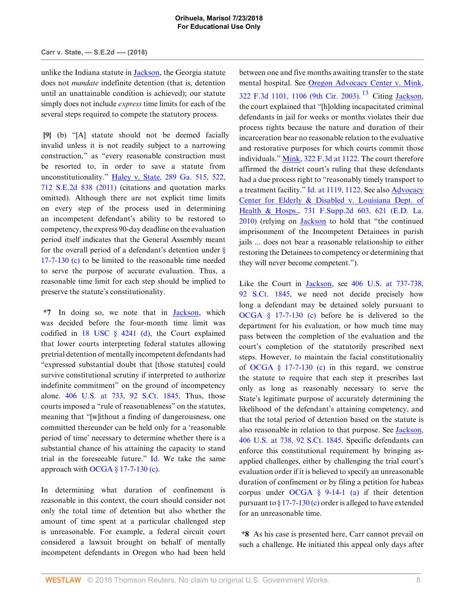unlike the Indiana statute in **Jackson**, the Georgia statute does not *mandate* indefinite detention (that is, detention until an unattainable condition is achieved); our statute simply does not include *express* time limits for each of the several steps required to compete the statutory process.

<span id="page-7-0"></span>**[\[9](#page-1-3)]** (b) "[A] statute should not be deemed facially invalid unless it is not readily subject to a narrowing construction," as "every reasonable construction must be resorted to, in order to save a statute from unconstitutionality." [Haley v. State, 289 Ga. 515, 522,](http://www.westlaw.com/Link/Document/FullText?findType=Y&serNum=2025640072&pubNum=0000711&originatingDoc=Ie8e30330731111e8a018fb92467ccf77&refType=RP&originationContext=document&vr=3.0&rs=cblt1.0&transitionType=DocumentItem&contextData=(sc.Keycite)) [712 S.E.2d 838 \(2011\)](http://www.westlaw.com/Link/Document/FullText?findType=Y&serNum=2025640072&pubNum=0000711&originatingDoc=Ie8e30330731111e8a018fb92467ccf77&refType=RP&originationContext=document&vr=3.0&rs=cblt1.0&transitionType=DocumentItem&contextData=(sc.Keycite)) (citations and quotation marks omitted). Although there are not explicit time limits on every step of the process used in determining an incompetent defendant's ability to be restored to competency, the express 90-day deadline on the evaluation period itself indicates that the General Assembly meant for the overall period of a defendant's detention under  $\frac{8}{9}$ [17-7-130 \(c\)](http://www.westlaw.com/Link/Document/FullText?findType=L&pubNum=1000468&cite=GAST17-7-130&originatingDoc=Ie8e30330731111e8a018fb92467ccf77&refType=SP&originationContext=document&vr=3.0&rs=cblt1.0&transitionType=DocumentItem&contextData=(sc.Keycite)#co_pp_4b24000003ba5) to be limited to the reasonable time needed to serve the purpose of accurate evaluation. Thus, a reasonable time limit for each step should be implied to preserve the statute's constitutionality.

**\*7** In doing so, we note that in [Jackson,](http://www.westlaw.com/Link/Document/FullText?findType=Y&serNum=1972127136&pubNum=0000708&originatingDoc=Ie8e30330731111e8a018fb92467ccf77&refType=RP&originationContext=document&vr=3.0&rs=cblt1.0&transitionType=DocumentItem&contextData=(sc.Keycite)) which was decided before the four-month time limit was codified in  $18$  USC  $\frac{6}{9}$  4241 (d), the Court explained that lower courts interpreting federal statutes allowing pretrial detention of mentally incompetent defendants had "expressed substantial doubt that [those statutes] could survive constitutional scrutiny if interpreted to authorize indefinite commitment" on the ground of incompetency alone. [406 U.S. at 733, 92 S.Ct. 1845.](http://www.westlaw.com/Link/Document/FullText?findType=Y&serNum=1972127136&pubNum=0000780&originatingDoc=Ie8e30330731111e8a018fb92467ccf77&refType=RP&fi=co_pp_sp_780_733&originationContext=document&vr=3.0&rs=cblt1.0&transitionType=DocumentItem&contextData=(sc.Keycite)#co_pp_sp_780_733) Thus, those courts imposed a "rule of reasonableness" on the statutes, meaning that "[w]ithout a finding of dangerousness, one committed thereunder can be held only for a 'reasonable period of time' necessary to determine whether there is a substantial chance of his attaining the capacity to stand trial in the foreseeable future." [Id.](http://www.westlaw.com/Link/Document/FullText?findType=Y&serNum=1972127136&pubNum=0000780&originatingDoc=Ie8e30330731111e8a018fb92467ccf77&refType=RP&originationContext=document&vr=3.0&rs=cblt1.0&transitionType=DocumentItem&contextData=(sc.Keycite)) We take the same approach with OCGA  $\S$  17-7-130 (c).

In determining what duration of confinement is reasonable in this context, the court should consider not only the total time of detention but also whether the amount of time spent at a particular challenged step is unreasonable. For example, a federal circuit court considered a lawsuit brought on behalf of mentally incompetent defendants in Oregon who had been held

<span id="page-7-1"></span>between one and five months awaiting transfer to the state mental hospital. See [Oregon Advocacy Center v. Mink,](http://www.westlaw.com/Link/Document/FullText?findType=Y&serNum=2003197826&pubNum=0000506&originatingDoc=Ie8e30330731111e8a018fb92467ccf77&refType=RP&fi=co_pp_sp_506_1106&originationContext=document&vr=3.0&rs=cblt1.0&transitionType=DocumentItem&contextData=(sc.Keycite)#co_pp_sp_506_1106) [322 F.3d 1101, 1106 \(9th Cir. 2003\).](http://www.westlaw.com/Link/Document/FullText?findType=Y&serNum=2003197826&pubNum=0000506&originatingDoc=Ie8e30330731111e8a018fb92467ccf77&refType=RP&fi=co_pp_sp_506_1106&originationContext=document&vr=3.0&rs=cblt1.0&transitionType=DocumentItem&contextData=(sc.Keycite)#co_pp_sp_506_1106)<sup>[13](#page-12-4)</sup> Citing [Jackson](http://www.westlaw.com/Link/Document/FullText?findType=Y&serNum=1972127136&pubNum=0000708&originatingDoc=Ie8e30330731111e8a018fb92467ccf77&refType=RP&originationContext=document&vr=3.0&rs=cblt1.0&transitionType=DocumentItem&contextData=(sc.Keycite)), the court explained that "[h]olding incapacitated criminal defendants in jail for weeks or months violates their due process rights because the nature and duration of their incarceration bear no reasonable relation to the evaluative and restorative purposes for which courts commit those individuals." [Mink, 322 F.3d at 1122.](http://www.westlaw.com/Link/Document/FullText?findType=Y&serNum=2003197826&pubNum=0000506&originatingDoc=Ie8e30330731111e8a018fb92467ccf77&refType=RP&fi=co_pp_sp_506_1122&originationContext=document&vr=3.0&rs=cblt1.0&transitionType=DocumentItem&contextData=(sc.Keycite)#co_pp_sp_506_1122) The court therefore affirmed the district court's ruling that these defendants had a due process right to "reasonably timely transport to a treatment facility." [Id. at 1119, 1122.](http://www.westlaw.com/Link/Document/FullText?findType=Y&serNum=2003197826&pubNum=0000506&originatingDoc=Ie8e30330731111e8a018fb92467ccf77&refType=RP&fi=co_pp_sp_506_1119&originationContext=document&vr=3.0&rs=cblt1.0&transitionType=DocumentItem&contextData=(sc.Keycite)#co_pp_sp_506_1119) See also [Advocacy](http://www.westlaw.com/Link/Document/FullText?findType=Y&serNum=2022769965&pubNum=0004637&originatingDoc=Ie8e30330731111e8a018fb92467ccf77&refType=RP&fi=co_pp_sp_4637_621&originationContext=document&vr=3.0&rs=cblt1.0&transitionType=DocumentItem&contextData=(sc.Keycite)#co_pp_sp_4637_621) [Center for Elderly & Disabled v. Louisiana Dept. of](http://www.westlaw.com/Link/Document/FullText?findType=Y&serNum=2022769965&pubNum=0004637&originatingDoc=Ie8e30330731111e8a018fb92467ccf77&refType=RP&fi=co_pp_sp_4637_621&originationContext=document&vr=3.0&rs=cblt1.0&transitionType=DocumentItem&contextData=(sc.Keycite)#co_pp_sp_4637_621) [Health & Hosps., 731 F.Supp.2d 603, 621 \(E.D. La.](http://www.westlaw.com/Link/Document/FullText?findType=Y&serNum=2022769965&pubNum=0004637&originatingDoc=Ie8e30330731111e8a018fb92467ccf77&refType=RP&fi=co_pp_sp_4637_621&originationContext=document&vr=3.0&rs=cblt1.0&transitionType=DocumentItem&contextData=(sc.Keycite)#co_pp_sp_4637_621) [2010\)](http://www.westlaw.com/Link/Document/FullText?findType=Y&serNum=2022769965&pubNum=0004637&originatingDoc=Ie8e30330731111e8a018fb92467ccf77&refType=RP&fi=co_pp_sp_4637_621&originationContext=document&vr=3.0&rs=cblt1.0&transitionType=DocumentItem&contextData=(sc.Keycite)#co_pp_sp_4637_621) (relying on [Jackson](http://www.westlaw.com/Link/Document/FullText?findType=Y&serNum=1972127136&pubNum=0000708&originatingDoc=Ie8e30330731111e8a018fb92467ccf77&refType=RP&originationContext=document&vr=3.0&rs=cblt1.0&transitionType=DocumentItem&contextData=(sc.Keycite)) to hold that "the continued imprisonment of the Incompetent Detainees in parish jails ... does not bear a reasonable relationship to either restoring the Detainees to competency or determining that they will never become competent.").

Like the Court in [Jackson](http://www.westlaw.com/Link/Document/FullText?findType=Y&serNum=1972127136&originatingDoc=Ie8e30330731111e8a018fb92467ccf77&refType=RP&originationContext=document&vr=3.0&rs=cblt1.0&transitionType=DocumentItem&contextData=(sc.Keycite)), see [406 U.S. at 737-738,](http://www.westlaw.com/Link/Document/FullText?findType=Y&serNum=1972127136&pubNum=0000708&originatingDoc=Ie8e30330731111e8a018fb92467ccf77&refType=RP&fi=co_pp_sp_708_737&originationContext=document&vr=3.0&rs=cblt1.0&transitionType=DocumentItem&contextData=(sc.Keycite)#co_pp_sp_708_737) [92 S.Ct. 1845,](http://www.westlaw.com/Link/Document/FullText?findType=Y&serNum=1972127136&pubNum=0000708&originatingDoc=Ie8e30330731111e8a018fb92467ccf77&refType=RP&fi=co_pp_sp_708_737&originationContext=document&vr=3.0&rs=cblt1.0&transitionType=DocumentItem&contextData=(sc.Keycite)#co_pp_sp_708_737) we need not decide precisely how long a defendant may be detained solely pursuant to [OCGA § 17-7-130 \(c\)](http://www.westlaw.com/Link/Document/FullText?findType=L&pubNum=1000468&cite=GAST17-7-130&originatingDoc=Ie8e30330731111e8a018fb92467ccf77&refType=SP&originationContext=document&vr=3.0&rs=cblt1.0&transitionType=DocumentItem&contextData=(sc.Keycite)#co_pp_4b24000003ba5) before he is delivered to the department for his evaluation, or how much time may pass between the completion of the evaluation and the court's completion of the statutorily prescribed next steps. However, to maintain the facial constitutionality of [OCGA § 17-7-130 \(c\)](http://www.westlaw.com/Link/Document/FullText?findType=L&pubNum=1000468&cite=GAST17-7-130&originatingDoc=Ie8e30330731111e8a018fb92467ccf77&refType=SP&originationContext=document&vr=3.0&rs=cblt1.0&transitionType=DocumentItem&contextData=(sc.Keycite)#co_pp_4b24000003ba5) in this regard, we construe the statute to require that each step it prescribes last only as long as reasonably necessary to serve the State's legitimate purpose of accurately determining the likelihood of the defendant's attaining competency, and that the total period of detention based on the statute is also reasonable in relation to that purpose. See [Jackson,](http://www.westlaw.com/Link/Document/FullText?findType=Y&serNum=1972127136&pubNum=0000780&originatingDoc=Ie8e30330731111e8a018fb92467ccf77&refType=RP&fi=co_pp_sp_780_738&originationContext=document&vr=3.0&rs=cblt1.0&transitionType=DocumentItem&contextData=(sc.Keycite)#co_pp_sp_780_738) [406 U.S. at 738, 92 S.Ct. 1845.](http://www.westlaw.com/Link/Document/FullText?findType=Y&serNum=1972127136&pubNum=0000780&originatingDoc=Ie8e30330731111e8a018fb92467ccf77&refType=RP&fi=co_pp_sp_780_738&originationContext=document&vr=3.0&rs=cblt1.0&transitionType=DocumentItem&contextData=(sc.Keycite)#co_pp_sp_780_738) Specific defendants can enforce this constitutional requirement by bringing asapplied challenges, either by challenging the trial court's evaluation order if it is believed to specify an unreasonable duration of confinement or by filing a petition for habeas corpus under [OCGA § 9-14-1 \(a\)](http://www.westlaw.com/Link/Document/FullText?findType=L&pubNum=1000468&cite=GAST9-14-1&originatingDoc=Ie8e30330731111e8a018fb92467ccf77&refType=SP&originationContext=document&vr=3.0&rs=cblt1.0&transitionType=DocumentItem&contextData=(sc.Keycite)#co_pp_8b3b0000958a4) if their detention pursuant to  $\frac{817-7-130}{c}$  order is alleged to have extended for an unreasonable time.

**\*8** As his case is presented here, Carr cannot prevail on such a challenge. He initiated this appeal only days after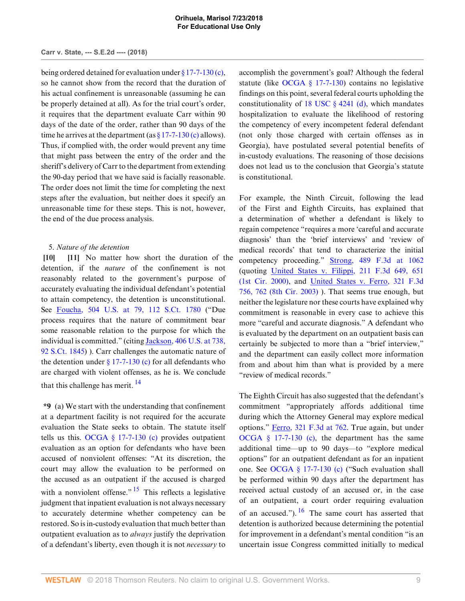being ordered detained for evaluation under [§ 17-7-130 \(c\)](http://www.westlaw.com/Link/Document/FullText?findType=L&pubNum=1000468&cite=GAST17-7-130&originatingDoc=Ie8e30330731111e8a018fb92467ccf77&refType=SP&originationContext=document&vr=3.0&rs=cblt1.0&transitionType=DocumentItem&contextData=(sc.Keycite)#co_pp_4b24000003ba5), so he cannot show from the record that the duration of his actual confinement is unreasonable (assuming he can be properly detained at all). As for the trial court's order, it requires that the department evaluate Carr within 90 days of the date of the order, rather than 90 days of the time he arrives at the department (as  $\S 17$ -7-130 (c) allows). Thus, if complied with, the order would prevent any time that might pass between the entry of the order and the sheriff's delivery of Carr to the department from extending the 90-day period that we have said is facially reasonable. The order does not limit the time for completing the next steps after the evaluation, but neither does it specify an unreasonable time for these steps. This is not, however, the end of the due process analysis.

## <span id="page-8-1"></span><span id="page-8-0"></span>5. *Nature of the detention*

**[\[10](#page-1-1)] [\[11\]](#page-1-4)** No matter how short the duration of the detention, if the *nature* of the confinement is not reasonably related to the government's purpose of accurately evaluating the individual defendant's potential to attain competency, the detention is unconstitutional. See [Foucha, 504 U.S. at 79, 112 S.Ct. 1780](http://www.westlaw.com/Link/Document/FullText?findType=Y&serNum=1992092153&pubNum=0000780&originatingDoc=Ie8e30330731111e8a018fb92467ccf77&refType=RP&fi=co_pp_sp_780_79&originationContext=document&vr=3.0&rs=cblt1.0&transitionType=DocumentItem&contextData=(sc.Keycite)#co_pp_sp_780_79) ("Due process requires that the nature of commitment bear some reasonable relation to the purpose for which the individual is committed." (citing [Jackson, 406 U.S. at 738,](http://www.westlaw.com/Link/Document/FullText?findType=Y&serNum=1972127136&pubNum=0000780&originatingDoc=Ie8e30330731111e8a018fb92467ccf77&refType=RP&fi=co_pp_sp_780_738&originationContext=document&vr=3.0&rs=cblt1.0&transitionType=DocumentItem&contextData=(sc.Keycite)#co_pp_sp_780_738) [92 S.Ct. 1845](http://www.westlaw.com/Link/Document/FullText?findType=Y&serNum=1972127136&pubNum=0000780&originatingDoc=Ie8e30330731111e8a018fb92467ccf77&refType=RP&fi=co_pp_sp_780_738&originationContext=document&vr=3.0&rs=cblt1.0&transitionType=DocumentItem&contextData=(sc.Keycite)#co_pp_sp_780_738)) ). Carr challenges the automatic nature of the detention under  $\S 17$ -7-130 (c) for all defendants who are charged with violent offenses, as he is. We conclude that this challenge has merit.  $14$ 

<span id="page-8-3"></span><span id="page-8-2"></span>**\*9** (a) We start with the understanding that confinement at a department facility is not required for the accurate evaluation the State seeks to obtain. The statute itself tells us this. OCGA  $\S$  17-7-130 (c) provides outpatient evaluation as an option for defendants who have been accused of nonviolent offenses: "At its discretion, the court may allow the evaluation to be performed on the accused as an outpatient if the accused is charged with a nonviolent offense."  $15$  This reflects a legislative judgment that inpatient evaluation is not always necessary to accurately determine whether competency can be restored. So is in-custody evaluation that much better than outpatient evaluation as to *always* justify the deprivation of a defendant's liberty, even though it is not *necessary* to accomplish the government's goal? Although the federal statute (like [OCGA § 17-7-130](http://www.westlaw.com/Link/Document/FullText?findType=L&pubNum=1000468&cite=GAST17-7-130&originatingDoc=Ie8e30330731111e8a018fb92467ccf77&refType=LQ&originationContext=document&vr=3.0&rs=cblt1.0&transitionType=DocumentItem&contextData=(sc.Keycite))) contains no legislative findings on this point, several federal courts upholding the constitutionality of  $18$  USC  $\S$  4241 (d), which mandates hospitalization to evaluate the likelihood of restoring the competency of every incompetent federal defendant (not only those charged with certain offenses as in Georgia), have postulated several potential benefits of in-custody evaluations. The reasoning of those decisions does not lead us to the conclusion that Georgia's statute is constitutional.

For example, the Ninth Circuit, following the lead of the First and Eighth Circuits, has explained that a determination of whether a defendant is likely to regain competence "requires a more 'careful and accurate diagnosis' than the 'brief interviews' and 'review of medical records' that tend to characterize the initial competency proceeding." [Strong, 489 F.3d at 1062](http://www.westlaw.com/Link/Document/FullText?findType=Y&serNum=2012447442&pubNum=0000506&originatingDoc=Ie8e30330731111e8a018fb92467ccf77&refType=RP&fi=co_pp_sp_506_1062&originationContext=document&vr=3.0&rs=cblt1.0&transitionType=DocumentItem&contextData=(sc.Keycite)#co_pp_sp_506_1062) (quoting [United States v. Filippi, 211 F.3d 649, 651](http://www.westlaw.com/Link/Document/FullText?findType=Y&serNum=2000113787&pubNum=0000506&originatingDoc=Ie8e30330731111e8a018fb92467ccf77&refType=RP&fi=co_pp_sp_506_651&originationContext=document&vr=3.0&rs=cblt1.0&transitionType=DocumentItem&contextData=(sc.Keycite)#co_pp_sp_506_651) [\(1st Cir. 2000\)](http://www.westlaw.com/Link/Document/FullText?findType=Y&serNum=2000113787&pubNum=0000506&originatingDoc=Ie8e30330731111e8a018fb92467ccf77&refType=RP&fi=co_pp_sp_506_651&originationContext=document&vr=3.0&rs=cblt1.0&transitionType=DocumentItem&contextData=(sc.Keycite)#co_pp_sp_506_651), and [United States v. Ferro, 321 F.3d](http://www.westlaw.com/Link/Document/FullText?findType=Y&serNum=2003206767&pubNum=0000506&originatingDoc=Ie8e30330731111e8a018fb92467ccf77&refType=RP&fi=co_pp_sp_506_762&originationContext=document&vr=3.0&rs=cblt1.0&transitionType=DocumentItem&contextData=(sc.Keycite)#co_pp_sp_506_762) [756, 762 \(8th Cir. 2003\)](http://www.westlaw.com/Link/Document/FullText?findType=Y&serNum=2003206767&pubNum=0000506&originatingDoc=Ie8e30330731111e8a018fb92467ccf77&refType=RP&fi=co_pp_sp_506_762&originationContext=document&vr=3.0&rs=cblt1.0&transitionType=DocumentItem&contextData=(sc.Keycite)#co_pp_sp_506_762) ). That seems true enough, but neither the legislature nor these courts have explained why commitment is reasonable in every case to achieve this more "careful and accurate diagnosis." A defendant who is evaluated by the department on an outpatient basis can certainly be subjected to more than a "brief interview," and the department can easily collect more information from and about him than what is provided by a mere "review of medical records."

<span id="page-8-4"></span>The Eighth Circuit has also suggested that the defendant's commitment "appropriately affords additional time during which the Attorney General may explore medical options." [Ferro, 321 F.3d at 762](http://www.westlaw.com/Link/Document/FullText?findType=Y&serNum=2003206767&pubNum=0000506&originatingDoc=Ie8e30330731111e8a018fb92467ccf77&refType=RP&fi=co_pp_sp_506_762&originationContext=document&vr=3.0&rs=cblt1.0&transitionType=DocumentItem&contextData=(sc.Keycite)#co_pp_sp_506_762). True again, but under [OCGA § 17-7-130 \(c\),](http://www.westlaw.com/Link/Document/FullText?findType=L&pubNum=1000468&cite=GAST17-7-130&originatingDoc=Ie8e30330731111e8a018fb92467ccf77&refType=SP&originationContext=document&vr=3.0&rs=cblt1.0&transitionType=DocumentItem&contextData=(sc.Keycite)#co_pp_4b24000003ba5) the department has the same additional time—up to 90 days—to "explore medical options" for an outpatient defendant as for an inpatient one. See [OCGA § 17-7-130 \(c\)](http://www.westlaw.com/Link/Document/FullText?findType=L&pubNum=1000468&cite=GAST17-7-130&originatingDoc=Ie8e30330731111e8a018fb92467ccf77&refType=SP&originationContext=document&vr=3.0&rs=cblt1.0&transitionType=DocumentItem&contextData=(sc.Keycite)#co_pp_4b24000003ba5) ("Such evaluation shall be performed within 90 days after the department has received actual custody of an accused or, in the case of an outpatient, a court order requiring evaluation of an accused.").  $\frac{16}{16}$  $\frac{16}{16}$  $\frac{16}{16}$  The same court has asserted that detention is authorized because determining the potential for improvement in a defendant's mental condition "is an uncertain issue Congress committed initially to medical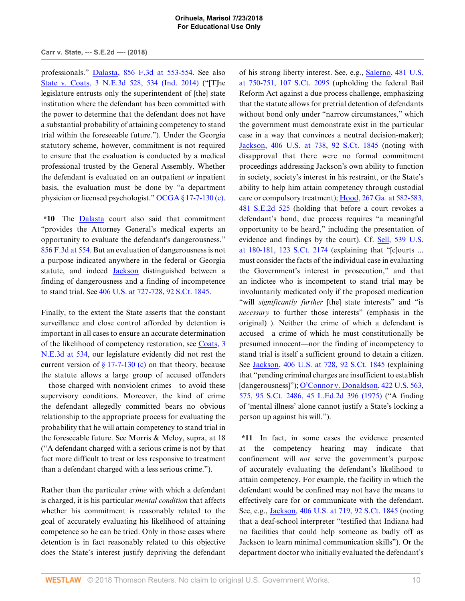### **Carr v. State, --- S.E.2d ---- (2018)**

professionals." [Dalasta, 856 F.3d at 553-554](http://www.westlaw.com/Link/Document/FullText?findType=Y&serNum=2041597501&pubNum=0000506&originatingDoc=Ie8e30330731111e8a018fb92467ccf77&refType=RP&fi=co_pp_sp_506_553&originationContext=document&vr=3.0&rs=cblt1.0&transitionType=DocumentItem&contextData=(sc.Keycite)#co_pp_sp_506_553). See also [State v. Coats, 3 N.E.3d 528, 534 \(Ind. 2014\)](http://www.westlaw.com/Link/Document/FullText?findType=Y&serNum=2032742860&pubNum=0007902&originatingDoc=Ie8e30330731111e8a018fb92467ccf77&refType=RP&fi=co_pp_sp_7902_534&originationContext=document&vr=3.0&rs=cblt1.0&transitionType=DocumentItem&contextData=(sc.Keycite)#co_pp_sp_7902_534) ("[T]he legislature entrusts only the superintendent of [the] state institution where the defendant has been committed with the power to determine that the defendant does not have a substantial probability of attaining competency to stand trial within the foreseeable future."). Under the Georgia statutory scheme, however, commitment is not required to ensure that the evaluation is conducted by a medical professional trusted by the General Assembly. Whether the defendant is evaluated on an outpatient *or* inpatient basis, the evaluation must be done by "a department physician or licensed psychologist." [OCGA § 17-7-130 \(c\)](http://www.westlaw.com/Link/Document/FullText?findType=L&pubNum=1000468&cite=GAST17-7-130&originatingDoc=Ie8e30330731111e8a018fb92467ccf77&refType=SP&originationContext=document&vr=3.0&rs=cblt1.0&transitionType=DocumentItem&contextData=(sc.Keycite)#co_pp_4b24000003ba5).

**\*10** The [Dalasta](http://www.westlaw.com/Link/Document/FullText?findType=Y&serNum=2041597501&originatingDoc=Ie8e30330731111e8a018fb92467ccf77&refType=RP&originationContext=document&vr=3.0&rs=cblt1.0&transitionType=DocumentItem&contextData=(sc.Keycite)) court also said that commitment "provides the Attorney General's medical experts an opportunity to evaluate the defendant's dangerousness." [856 F.3d at 554](http://www.westlaw.com/Link/Document/FullText?findType=Y&serNum=2041597501&pubNum=0000506&originatingDoc=Ie8e30330731111e8a018fb92467ccf77&refType=RP&fi=co_pp_sp_506_554&originationContext=document&vr=3.0&rs=cblt1.0&transitionType=DocumentItem&contextData=(sc.Keycite)#co_pp_sp_506_554). But an evaluation of dangerousness is not a purpose indicated anywhere in the federal or Georgia statute, and indeed [Jackson](http://www.westlaw.com/Link/Document/FullText?findType=Y&serNum=1972127136&pubNum=0000708&originatingDoc=Ie8e30330731111e8a018fb92467ccf77&refType=RP&originationContext=document&vr=3.0&rs=cblt1.0&transitionType=DocumentItem&contextData=(sc.Keycite)) distinguished between a finding of dangerousness and a finding of incompetence to stand trial. See [406 U.S. at 727-728, 92 S.Ct. 1845.](http://www.westlaw.com/Link/Document/FullText?findType=Y&serNum=1972127136&pubNum=0000780&originatingDoc=Ie8e30330731111e8a018fb92467ccf77&refType=RP&fi=co_pp_sp_780_727&originationContext=document&vr=3.0&rs=cblt1.0&transitionType=DocumentItem&contextData=(sc.Keycite)#co_pp_sp_780_727)

Finally, to the extent the State asserts that the constant surveillance and close control afforded by detention is important in all cases to ensure an accurate determination of the likelihood of competency restoration, see [Coats, 3](http://www.westlaw.com/Link/Document/FullText?findType=Y&serNum=2032742860&pubNum=0007902&originatingDoc=Ie8e30330731111e8a018fb92467ccf77&refType=RP&fi=co_pp_sp_7902_534&originationContext=document&vr=3.0&rs=cblt1.0&transitionType=DocumentItem&contextData=(sc.Keycite)#co_pp_sp_7902_534) [N.E.3d at 534](http://www.westlaw.com/Link/Document/FullText?findType=Y&serNum=2032742860&pubNum=0007902&originatingDoc=Ie8e30330731111e8a018fb92467ccf77&refType=RP&fi=co_pp_sp_7902_534&originationContext=document&vr=3.0&rs=cblt1.0&transitionType=DocumentItem&contextData=(sc.Keycite)#co_pp_sp_7902_534), our legislature evidently did not rest the current version of  $\S 17$ -7-130 (c) on that theory, because the statute allows a large group of accused offenders —those charged with nonviolent crimes—to avoid these supervisory conditions. Moreover, the kind of crime the defendant allegedly committed bears no obvious relationship to the appropriate process for evaluating the probability that he will attain competency to stand trial in the foreseeable future. See Morris & Meloy, supra, at 18 ("A defendant charged with a serious crime is not by that fact more difficult to treat or less responsive to treatment than a defendant charged with a less serious crime.").

Rather than the particular *crime* with which a defendant is charged, it is his particular *mental condition* that affects whether his commitment is reasonably related to the goal of accurately evaluating his likelihood of attaining competence so he can be tried. Only in those cases where detention is in fact reasonably related to this objective does the State's interest justify depriving the defendant of his strong liberty interest. See, e.g., [Salerno, 481 U.S.](http://www.westlaw.com/Link/Document/FullText?findType=Y&serNum=1987064904&pubNum=0000780&originatingDoc=Ie8e30330731111e8a018fb92467ccf77&refType=RP&fi=co_pp_sp_780_750&originationContext=document&vr=3.0&rs=cblt1.0&transitionType=DocumentItem&contextData=(sc.Keycite)#co_pp_sp_780_750) [at 750-751, 107 S.Ct. 2095](http://www.westlaw.com/Link/Document/FullText?findType=Y&serNum=1987064904&pubNum=0000780&originatingDoc=Ie8e30330731111e8a018fb92467ccf77&refType=RP&fi=co_pp_sp_780_750&originationContext=document&vr=3.0&rs=cblt1.0&transitionType=DocumentItem&contextData=(sc.Keycite)#co_pp_sp_780_750) (upholding the federal Bail Reform Act against a due process challenge, emphasizing that the statute allows for pretrial detention of defendants without bond only under "narrow circumstances," which the government must demonstrate exist in the particular case in a way that convinces a neutral decision-maker); [Jackson, 406 U.S. at 738, 92 S.Ct. 1845](http://www.westlaw.com/Link/Document/FullText?findType=Y&serNum=1972127136&pubNum=0000780&originatingDoc=Ie8e30330731111e8a018fb92467ccf77&refType=RP&fi=co_pp_sp_780_738&originationContext=document&vr=3.0&rs=cblt1.0&transitionType=DocumentItem&contextData=(sc.Keycite)#co_pp_sp_780_738) (noting with disapproval that there were no formal commitment proceedings addressing Jackson's own ability to function in society, society's interest in his restraint, or the State's ability to help him attain competency through custodial care or compulsory treatment); [Hood, 267 Ga. at 582-583,](http://www.westlaw.com/Link/Document/FullText?findType=Y&serNum=1997066520&pubNum=0000359&originatingDoc=Ie8e30330731111e8a018fb92467ccf77&refType=RP&fi=co_pp_sp_359_582&originationContext=document&vr=3.0&rs=cblt1.0&transitionType=DocumentItem&contextData=(sc.Keycite)#co_pp_sp_359_582) [481 S.E.2d 525](http://www.westlaw.com/Link/Document/FullText?findType=Y&serNum=1997066520&pubNum=0000359&originatingDoc=Ie8e30330731111e8a018fb92467ccf77&refType=RP&fi=co_pp_sp_359_582&originationContext=document&vr=3.0&rs=cblt1.0&transitionType=DocumentItem&contextData=(sc.Keycite)#co_pp_sp_359_582) (holding that before a court revokes a defendant's bond, due process requires "a meaningful opportunity to be heard," including the presentation of evidence and findings by the court). Cf. [Sell, 539 U.S.](http://www.westlaw.com/Link/Document/FullText?findType=Y&serNum=2003428187&pubNum=0000708&originatingDoc=Ie8e30330731111e8a018fb92467ccf77&refType=RP&fi=co_pp_sp_708_180&originationContext=document&vr=3.0&rs=cblt1.0&transitionType=DocumentItem&contextData=(sc.Keycite)#co_pp_sp_708_180) [at 180-181, 123 S.Ct. 2174](http://www.westlaw.com/Link/Document/FullText?findType=Y&serNum=2003428187&pubNum=0000708&originatingDoc=Ie8e30330731111e8a018fb92467ccf77&refType=RP&fi=co_pp_sp_708_180&originationContext=document&vr=3.0&rs=cblt1.0&transitionType=DocumentItem&contextData=(sc.Keycite)#co_pp_sp_708_180) (explaining that "[c]ourts ... must consider the facts of the individual case in evaluating the Government's interest in prosecution," and that an indictee who is incompetent to stand trial may be involuntarily medicated only if the proposed medication "will *significantly further* [the] state interests" and "is *necessary* to further those interests" (emphasis in the original) ). Neither the crime of which a defendant is accused—a crime of which he must constitutionally be presumed innocent—nor the finding of incompetency to stand trial is itself a sufficient ground to detain a citizen. See [Jackson, 406 U.S. at 728, 92 S.Ct. 1845](http://www.westlaw.com/Link/Document/FullText?findType=Y&serNum=1972127136&pubNum=0000780&originatingDoc=Ie8e30330731111e8a018fb92467ccf77&refType=RP&fi=co_pp_sp_780_728&originationContext=document&vr=3.0&rs=cblt1.0&transitionType=DocumentItem&contextData=(sc.Keycite)#co_pp_sp_780_728) (explaining that "pending criminal charges are insufficient to establish [dangerousness]"); [O'Connor v. Donaldson, 422 U.S. 563,](http://www.westlaw.com/Link/Document/FullText?findType=Y&serNum=1975129835&pubNum=0000708&originatingDoc=Ie8e30330731111e8a018fb92467ccf77&refType=RP&originationContext=document&vr=3.0&rs=cblt1.0&transitionType=DocumentItem&contextData=(sc.Keycite)) [575, 95 S.Ct. 2486, 45 L.Ed.2d 396 \(1975\)](http://www.westlaw.com/Link/Document/FullText?findType=Y&serNum=1975129835&pubNum=0000708&originatingDoc=Ie8e30330731111e8a018fb92467ccf77&refType=RP&originationContext=document&vr=3.0&rs=cblt1.0&transitionType=DocumentItem&contextData=(sc.Keycite)) ("A finding of 'mental illness' alone cannot justify a State's locking a person up against his will.").

**\*11** In fact, in some cases the evidence presented at the competency hearing may indicate that confinement will *not* serve the government's purpose of accurately evaluating the defendant's likelihood to attain competency. For example, the facility in which the defendant would be confined may not have the means to effectively care for or communicate with the defendant. See, e.g., [Jackson, 406 U.S. at 719, 92 S.Ct. 1845](http://www.westlaw.com/Link/Document/FullText?findType=Y&serNum=1972127136&pubNum=0000780&originatingDoc=Ie8e30330731111e8a018fb92467ccf77&refType=RP&fi=co_pp_sp_780_719&originationContext=document&vr=3.0&rs=cblt1.0&transitionType=DocumentItem&contextData=(sc.Keycite)#co_pp_sp_780_719) (noting that a deaf-school interpreter "testified that Indiana had no facilities that could help someone as badly off as Jackson to learn minimal communication skills"). Or the department doctor who initially evaluated the defendant's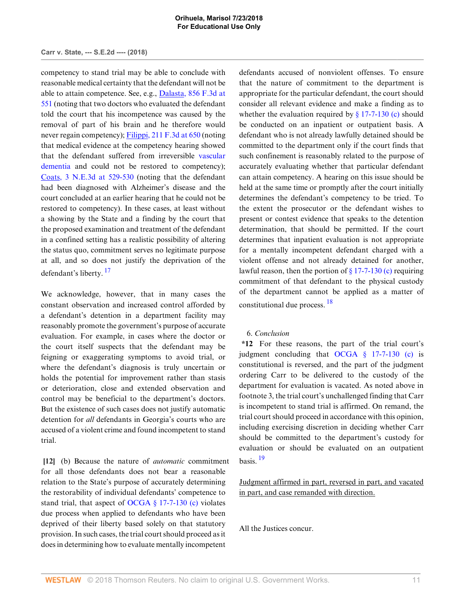competency to stand trial may be able to conclude with reasonable medical certainty that the defendant will not be able to attain competence. See, e.g., [Dalasta, 856 F.3d at](http://www.westlaw.com/Link/Document/FullText?findType=Y&serNum=2041597501&pubNum=0000506&originatingDoc=Ie8e30330731111e8a018fb92467ccf77&refType=RP&fi=co_pp_sp_506_551&originationContext=document&vr=3.0&rs=cblt1.0&transitionType=DocumentItem&contextData=(sc.Keycite)#co_pp_sp_506_551) [551](http://www.westlaw.com/Link/Document/FullText?findType=Y&serNum=2041597501&pubNum=0000506&originatingDoc=Ie8e30330731111e8a018fb92467ccf77&refType=RP&fi=co_pp_sp_506_551&originationContext=document&vr=3.0&rs=cblt1.0&transitionType=DocumentItem&contextData=(sc.Keycite)#co_pp_sp_506_551) (noting that two doctors who evaluated the defendant told the court that his incompetence was caused by the removal of part of his brain and he therefore would never regain competency); [Filippi, 211 F.3d at 650](http://www.westlaw.com/Link/Document/FullText?findType=Y&serNum=2000113787&pubNum=0000506&originatingDoc=Ie8e30330731111e8a018fb92467ccf77&refType=RP&fi=co_pp_sp_506_650&originationContext=document&vr=3.0&rs=cblt1.0&transitionType=DocumentItem&contextData=(sc.Keycite)#co_pp_sp_506_650) (noting that medical evidence at the competency hearing showed that the defendant suffered from irreversible [vascular](http://www.westlaw.com/Link/Document/FullText?entityType=disease&entityId=Ic3f3eef9475411db9765f9243f53508a&originationContext=document&transitionType=DocumentItem&contextData=(sc.Default)&vr=3.0&rs=cblt1.0) [dementia](http://www.westlaw.com/Link/Document/FullText?entityType=disease&entityId=Ic3f3eef9475411db9765f9243f53508a&originationContext=document&transitionType=DocumentItem&contextData=(sc.Default)&vr=3.0&rs=cblt1.0) and could not be restored to competency); [Coats, 3 N.E.3d at 529-530](http://www.westlaw.com/Link/Document/FullText?findType=Y&serNum=2032742860&pubNum=0007902&originatingDoc=Ie8e30330731111e8a018fb92467ccf77&refType=RP&fi=co_pp_sp_7902_529&originationContext=document&vr=3.0&rs=cblt1.0&transitionType=DocumentItem&contextData=(sc.Keycite)#co_pp_sp_7902_529) (noting that the defendant had been diagnosed with Alzheimer's disease and the court concluded at an earlier hearing that he could not be restored to competency). In these cases, at least without a showing by the State and a finding by the court that the proposed examination and treatment of the defendant in a confined setting has a realistic possibility of altering the status quo, commitment serves no legitimate purpose at all, and so does not justify the deprivation of the defendant's liberty. [17](#page-13-2)

<span id="page-10-1"></span>We acknowledge, however, that in many cases the constant observation and increased control afforded by a defendant's detention in a department facility may reasonably promote the government's purpose of accurate evaluation. For example, in cases where the doctor or the court itself suspects that the defendant may be feigning or exaggerating symptoms to avoid trial, or where the defendant's diagnosis is truly uncertain or holds the potential for improvement rather than stasis or deterioration, close and extended observation and control may be beneficial to the department's doctors. But the existence of such cases does not justify automatic detention for *all* defendants in Georgia's courts who are accused of a violent crime and found incompetent to stand trial.

<span id="page-10-0"></span>**[\[12](#page-1-5)]** (b) Because the nature of *automatic* commitment for all those defendants does not bear a reasonable relation to the State's purpose of accurately determining the restorability of individual defendants' competence to stand trial, that aspect of OCGA  $\S$  17-7-130 (c) violates due process when applied to defendants who have been deprived of their liberty based solely on that statutory provision. In such cases, the trial court should proceed as it does in determining how to evaluate mentally incompetent

defendants accused of nonviolent offenses. To ensure that the nature of commitment to the department is appropriate for the particular defendant, the court should consider all relevant evidence and make a finding as to whether the evaluation required by  $\S 17$ -7-130 (c) should be conducted on an inpatient or outpatient basis. A defendant who is not already lawfully detained should be committed to the department only if the court finds that such confinement is reasonably related to the purpose of accurately evaluating whether that particular defendant can attain competency. A hearing on this issue should be held at the same time or promptly after the court initially determines the defendant's competency to be tried. To the extent the prosecutor or the defendant wishes to present or contest evidence that speaks to the detention determination, that should be permitted. If the court determines that inpatient evaluation is not appropriate for a mentally incompetent defendant charged with a violent offense and not already detained for another, lawful reason, then the portion of  $\S 17$ -7-130 (c) requiring commitment of that defendant to the physical custody of the department cannot be applied as a matter of constitutional due process. [18](#page-13-3)

# <span id="page-10-2"></span>6. *Conclusion*

**\*12** For these reasons, the part of the trial court's judgment concluding that [OCGA § 17-7-130 \(c\)](http://www.westlaw.com/Link/Document/FullText?findType=L&pubNum=1000468&cite=GAST17-7-130&originatingDoc=Ie8e30330731111e8a018fb92467ccf77&refType=SP&originationContext=document&vr=3.0&rs=cblt1.0&transitionType=DocumentItem&contextData=(sc.Keycite)#co_pp_4b24000003ba5) is constitutional is reversed, and the part of the judgment ordering Carr to be delivered to the custody of the department for evaluation is vacated. As noted above in footnote 3, the trial court's unchallenged finding that Carr is incompetent to stand trial is affirmed. On remand, the trial court should proceed in accordance with this opinion, including exercising discretion in deciding whether Carr should be committed to the department's custody for evaluation or should be evaluated on an outpatient basis. [19](#page-13-4)

<span id="page-10-3"></span>Judgment affirmed in part, reversed in part, and vacated in part, and case remanded with direction.

All the Justices concur.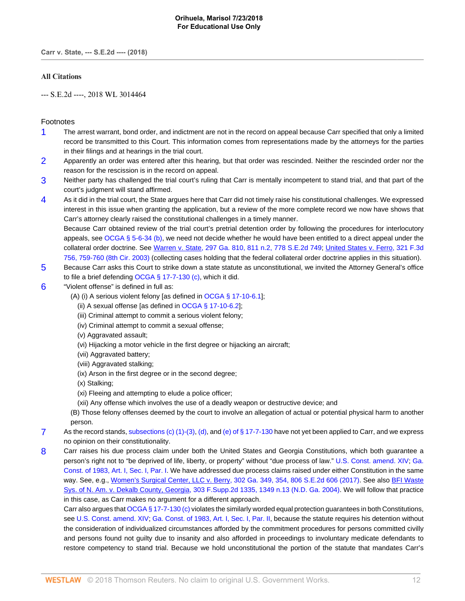**Carr v. State, --- S.E.2d ---- (2018)**

# **All Citations**

--- S.E.2d ----, 2018 WL 3014464

# Footnotes

- <span id="page-11-0"></span>[1](#page-3-0) The arrest warrant, bond order, and indictment are not in the record on appeal because Carr specified that only a limited record be transmitted to this Court. This information comes from representations made by the attorneys for the parties in their filings and at hearings in the trial court.
- <span id="page-11-1"></span>[2](#page-3-1) Apparently an order was entered after this hearing, but that order was rescinded. Neither the rescinded order nor the reason for the rescission is in the record on appeal.
- <span id="page-11-2"></span>[3](#page-4-0) Neither party has challenged the trial court's ruling that Carr is mentally incompetent to stand trial, and that part of the court's judgment will stand affirmed.
- <span id="page-11-3"></span>[4](#page-4-1) As it did in the trial court, the State argues here that Carr did not timely raise his constitutional challenges. We expressed interest in this issue when granting the application, but a review of the more complete record we now have shows that Carr's attorney clearly raised the constitutional challenges in a timely manner.

Because Carr obtained review of the trial court's pretrial detention order by following the procedures for interlocutory appeals, see [OCGA § 5-6-34 \(b\),](http://www.westlaw.com/Link/Document/FullText?findType=L&pubNum=1000468&cite=GAST5-6-34&originatingDoc=Ie8e30330731111e8a018fb92467ccf77&refType=SP&originationContext=document&vr=3.0&rs=cblt1.0&transitionType=DocumentItem&contextData=(sc.Keycite)#co_pp_a83b000018c76) we need not decide whether he would have been entitled to a direct appeal under the collateral order doctrine. See [Warren v. State, 297 Ga. 810, 811 n.2, 778 S.E.2d 749;](http://www.westlaw.com/Link/Document/FullText?findType=Y&serNum=2037406755&pubNum=0000711&originatingDoc=Ie8e30330731111e8a018fb92467ccf77&refType=RP&originationContext=document&vr=3.0&rs=cblt1.0&transitionType=DocumentItem&contextData=(sc.Keycite)) [United States v. Ferro, 321 F.3d](http://www.westlaw.com/Link/Document/FullText?findType=Y&serNum=2003206767&pubNum=0000506&originatingDoc=Ie8e30330731111e8a018fb92467ccf77&refType=RP&fi=co_pp_sp_506_759&originationContext=document&vr=3.0&rs=cblt1.0&transitionType=DocumentItem&contextData=(sc.Keycite)#co_pp_sp_506_759) [756, 759-760 \(8th Cir. 2003\)](http://www.westlaw.com/Link/Document/FullText?findType=Y&serNum=2003206767&pubNum=0000506&originatingDoc=Ie8e30330731111e8a018fb92467ccf77&refType=RP&fi=co_pp_sp_506_759&originationContext=document&vr=3.0&rs=cblt1.0&transitionType=DocumentItem&contextData=(sc.Keycite)#co_pp_sp_506_759) (collecting cases holding that the federal collateral order doctrine applies in this situation).

- <span id="page-11-4"></span>[5](#page-4-2) Because Carr asks this Court to strike down a state statute as unconstitutional, we invited the Attorney General's office to file a brief defending [OCGA § 17-7-130 \(c\)](http://www.westlaw.com/Link/Document/FullText?findType=L&pubNum=1000468&cite=GAST17-7-130&originatingDoc=Ie8e30330731111e8a018fb92467ccf77&refType=SP&originationContext=document&vr=3.0&rs=cblt1.0&transitionType=DocumentItem&contextData=(sc.Keycite)#co_pp_4b24000003ba5), which it did.
- <span id="page-11-5"></span>[6](#page-4-3) "Violent offense" is defined in full as:
	- (A) (i) A serious violent felony [as defined in [OCGA § 17-10-6.1](http://www.westlaw.com/Link/Document/FullText?findType=L&pubNum=1000468&cite=GAST17-10-6.1&originatingDoc=Ie8e30330731111e8a018fb92467ccf77&refType=LQ&originationContext=document&vr=3.0&rs=cblt1.0&transitionType=DocumentItem&contextData=(sc.Keycite))];
		- (ii) A sexual offense [as defined in [OCGA § 17-10-6.2\]](http://www.westlaw.com/Link/Document/FullText?findType=L&pubNum=1000468&cite=GAST17-10-6.2&originatingDoc=Ie8e30330731111e8a018fb92467ccf77&refType=LQ&originationContext=document&vr=3.0&rs=cblt1.0&transitionType=DocumentItem&contextData=(sc.Keycite));
		- (iii) Criminal attempt to commit a serious violent felony;
		- (iv) Criminal attempt to commit a sexual offense;
		- (v) Aggravated assault;
		- (vi) Hijacking a motor vehicle in the first degree or hijacking an aircraft;
		- (vii) Aggravated battery;
		- (viii) Aggravated stalking;
		- (ix) Arson in the first degree or in the second degree;
		- (x) Stalking;
		- (xi) Fleeing and attempting to elude a police officer;
		- (xii) Any offense which involves the use of a deadly weapon or destructive device; and

(B) Those felony offenses deemed by the court to involve an allegation of actual or potential physical harm to another person.

- <span id="page-11-6"></span>[7](#page-4-4) As the record stands, [subsections \(c\) \(1\)-\(3\),](http://www.westlaw.com/Link/Document/FullText?findType=L&pubNum=1000468&cite=GAST17-7-130&originatingDoc=Ie8e30330731111e8a018fb92467ccf77&refType=SP&originationContext=document&vr=3.0&rs=cblt1.0&transitionType=DocumentItem&contextData=(sc.Keycite)#co_pp_4b24000003ba5) [\(d\)](http://www.westlaw.com/Link/Document/FullText?findType=L&pubNum=1000468&cite=GAST17-7-130&originatingDoc=Ie8e30330731111e8a018fb92467ccf77&refType=SP&originationContext=document&vr=3.0&rs=cblt1.0&transitionType=DocumentItem&contextData=(sc.Keycite)#co_pp_5ba1000067d06), and [\(e\) of § 17-7-130](http://www.westlaw.com/Link/Document/FullText?findType=L&pubNum=1000468&cite=GAST17-7-130&originatingDoc=Ie8e30330731111e8a018fb92467ccf77&refType=SP&originationContext=document&vr=3.0&rs=cblt1.0&transitionType=DocumentItem&contextData=(sc.Keycite)#co_pp_7fdd00001ca15) have not yet been applied to Carr, and we express no opinion on their constitutionality.
- <span id="page-11-7"></span>[8](#page-5-7) Carr raises his due process claim under both the United States and Georgia Constitutions, which both guarantee a person's right not to "be deprived of life, liberty, or property" without "due process of law." [U.S. Const. amend. XIV](http://www.westlaw.com/Link/Document/FullText?findType=L&pubNum=1000583&cite=USCOAMENDXIV&originatingDoc=Ie8e30330731111e8a018fb92467ccf77&refType=LQ&originationContext=document&vr=3.0&rs=cblt1.0&transitionType=DocumentItem&contextData=(sc.Keycite)); [Ga.](http://www.westlaw.com/Link/Document/FullText?findType=L&pubNum=1000469&cite=GACNART1S1PI&originatingDoc=Ie8e30330731111e8a018fb92467ccf77&refType=LQ&originationContext=document&vr=3.0&rs=cblt1.0&transitionType=DocumentItem&contextData=(sc.Keycite)) [Const. of 1983, Art. I, Sec. I, Par. I](http://www.westlaw.com/Link/Document/FullText?findType=L&pubNum=1000469&cite=GACNART1S1PI&originatingDoc=Ie8e30330731111e8a018fb92467ccf77&refType=LQ&originationContext=document&vr=3.0&rs=cblt1.0&transitionType=DocumentItem&contextData=(sc.Keycite)). We have addressed due process claims raised under either Constitution in the same way. See, e.g., [Women's Surgical Center, LLC v. Berry, 302 Ga. 349, 354, 806 S.E.2d 606 \(2017\)](http://www.westlaw.com/Link/Document/FullText?findType=Y&serNum=2042886620&pubNum=0000711&originatingDoc=Ie8e30330731111e8a018fb92467ccf77&refType=RP&originationContext=document&vr=3.0&rs=cblt1.0&transitionType=DocumentItem&contextData=(sc.Keycite)). See also [BFI Waste](http://www.westlaw.com/Link/Document/FullText?findType=Y&serNum=2004087902&pubNum=0004637&originatingDoc=Ie8e30330731111e8a018fb92467ccf77&refType=RP&fi=co_pp_sp_4637_1349&originationContext=document&vr=3.0&rs=cblt1.0&transitionType=DocumentItem&contextData=(sc.Keycite)#co_pp_sp_4637_1349) [Sys. of N. Am. v. Dekalb County, Georgia, 303 F.Supp.2d 1335, 1349 n.13 \(N.D. Ga. 2004\)](http://www.westlaw.com/Link/Document/FullText?findType=Y&serNum=2004087902&pubNum=0004637&originatingDoc=Ie8e30330731111e8a018fb92467ccf77&refType=RP&fi=co_pp_sp_4637_1349&originationContext=document&vr=3.0&rs=cblt1.0&transitionType=DocumentItem&contextData=(sc.Keycite)#co_pp_sp_4637_1349). We will follow that practice in this case, as Carr makes no argument for a different approach.

Carr also argues that [OCGA § 17-7-130 \(c\)](http://www.westlaw.com/Link/Document/FullText?findType=L&pubNum=1000468&cite=GAST17-7-130&originatingDoc=Ie8e30330731111e8a018fb92467ccf77&refType=SP&originationContext=document&vr=3.0&rs=cblt1.0&transitionType=DocumentItem&contextData=(sc.Keycite)#co_pp_4b24000003ba5) violates the similarly worded equal protection guarantees in both Constitutions, see [U.S. Const. amend. XIV;](http://www.westlaw.com/Link/Document/FullText?findType=L&pubNum=1000583&cite=USCOAMENDXIV&originatingDoc=Ie8e30330731111e8a018fb92467ccf77&refType=LQ&originationContext=document&vr=3.0&rs=cblt1.0&transitionType=DocumentItem&contextData=(sc.Keycite)) [Ga. Const. of 1983, Art. I, Sec. I, Par. II,](http://www.westlaw.com/Link/Document/FullText?findType=L&pubNum=1000469&cite=GACNART1S1PII&originatingDoc=Ie8e30330731111e8a018fb92467ccf77&refType=LQ&originationContext=document&vr=3.0&rs=cblt1.0&transitionType=DocumentItem&contextData=(sc.Keycite)) because the statute requires his detention without the consideration of individualized circumstances afforded by the commitment procedures for persons committed civilly and persons found not guilty due to insanity and also afforded in proceedings to involuntary medicate defendants to restore competency to stand trial. Because we hold unconstitutional the portion of the statute that mandates Carr's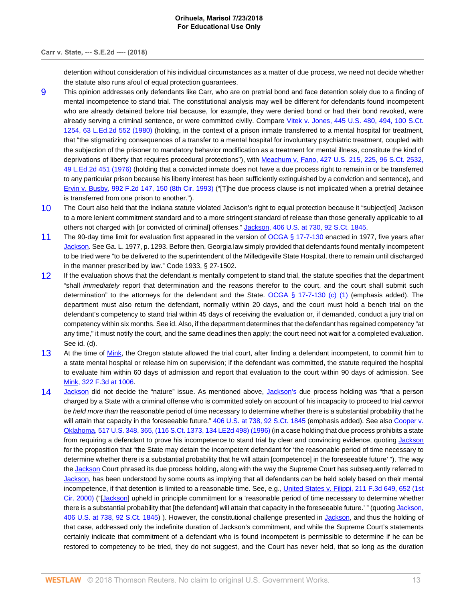## **Carr v. State, --- S.E.2d ---- (2018)**

detention without consideration of his individual circumstances as a matter of due process, we need not decide whether the statute also runs afoul of equal protection guarantees.

- <span id="page-12-0"></span>[9](#page-5-8) This opinion addresses only defendants like Carr, who are on pretrial bond and face detention solely due to a finding of mental incompetence to stand trial. The constitutional analysis may well be different for defendants found incompetent who are already detained before trial because, for example, they were denied bond or had their bond revoked, were already serving a criminal sentence, or were committed civilly. Compare [Vitek v. Jones, 445 U.S. 480, 494, 100 S.Ct.](http://www.westlaw.com/Link/Document/FullText?findType=Y&serNum=1980105873&pubNum=0000708&originatingDoc=Ie8e30330731111e8a018fb92467ccf77&refType=RP&originationContext=document&vr=3.0&rs=cblt1.0&transitionType=DocumentItem&contextData=(sc.Keycite)) [1254, 63 L.Ed.2d 552 \(1980\)](http://www.westlaw.com/Link/Document/FullText?findType=Y&serNum=1980105873&pubNum=0000708&originatingDoc=Ie8e30330731111e8a018fb92467ccf77&refType=RP&originationContext=document&vr=3.0&rs=cblt1.0&transitionType=DocumentItem&contextData=(sc.Keycite)) (holding, in the context of a prison inmate transferred to a mental hospital for treatment, that "the stigmatizing consequences of a transfer to a mental hospital for involuntary psychiatric treatment, coupled with the subjection of the prisoner to mandatory behavior modification as a treatment for mental illness, constitute the kind of deprivations of liberty that requires procedural protections"), with [Meachum v. Fano, 427 U.S. 215, 225, 96 S.Ct. 2532,](http://www.westlaw.com/Link/Document/FullText?findType=Y&serNum=1976142429&pubNum=0000708&originatingDoc=Ie8e30330731111e8a018fb92467ccf77&refType=RP&originationContext=document&vr=3.0&rs=cblt1.0&transitionType=DocumentItem&contextData=(sc.Keycite)) [49 L.Ed.2d 451 \(1976\)](http://www.westlaw.com/Link/Document/FullText?findType=Y&serNum=1976142429&pubNum=0000708&originatingDoc=Ie8e30330731111e8a018fb92467ccf77&refType=RP&originationContext=document&vr=3.0&rs=cblt1.0&transitionType=DocumentItem&contextData=(sc.Keycite)) (holding that a convicted inmate does not have a due process right to remain in or be transferred to any particular prison because his liberty interest has been sufficiently extinguished by a conviction and sentence), and [Ervin v. Busby, 992 F.2d 147, 150 \(8th Cir. 1993\)](http://www.westlaw.com/Link/Document/FullText?findType=Y&serNum=1993090020&pubNum=0000350&originatingDoc=Ie8e30330731111e8a018fb92467ccf77&refType=RP&fi=co_pp_sp_350_150&originationContext=document&vr=3.0&rs=cblt1.0&transitionType=DocumentItem&contextData=(sc.Keycite)#co_pp_sp_350_150) ("[T]he due process clause is not implicated when a pretrial detainee is transferred from one prison to another.").
- <span id="page-12-1"></span>[10](#page-6-1) The Court also held that the Indiana statute violated Jackson's right to equal protection because it "subject[ed] Jackson to a more lenient commitment standard and to a more stringent standard of release than those generally applicable to all others not charged with [or convicted of criminal] offenses." [Jackson, 406 U.S. at 730, 92 S.Ct. 1845](http://www.westlaw.com/Link/Document/FullText?findType=Y&serNum=1972127136&pubNum=0000780&originatingDoc=Ie8e30330731111e8a018fb92467ccf77&refType=RP&fi=co_pp_sp_780_730&originationContext=document&vr=3.0&rs=cblt1.0&transitionType=DocumentItem&contextData=(sc.Keycite)#co_pp_sp_780_730).
- <span id="page-12-2"></span>[11](#page-6-2) The 90-day time limit for evaluation first appeared in the version of [OCGA § 17-7-130](http://www.westlaw.com/Link/Document/FullText?findType=L&pubNum=1000468&cite=GAST17-7-130&originatingDoc=Ie8e30330731111e8a018fb92467ccf77&refType=LQ&originationContext=document&vr=3.0&rs=cblt1.0&transitionType=DocumentItem&contextData=(sc.Keycite)) enacted in 1977, five years after [Jackson](http://www.westlaw.com/Link/Document/FullText?findType=Y&serNum=1972127136&originatingDoc=Ie8e30330731111e8a018fb92467ccf77&refType=RP&originationContext=document&vr=3.0&rs=cblt1.0&transitionType=DocumentItem&contextData=(sc.Keycite)). See Ga. L. 1977, p. 1293. Before then, Georgia law simply provided that defendants found mentally incompetent to be tried were "to be delivered to the superintendent of the Milledgeville State Hospital, there to remain until discharged in the manner prescribed by law." Code 1933, § 27-1502.
- <span id="page-12-3"></span>[12](#page-6-3) If the evaluation shows that the defendant is mentally competent to stand trial, the statute specifies that the department "shall *immediately* report that determination and the reasons therefor to the court, and the court shall submit such determination" to the attorneys for the defendant and the State. [OCGA § 17-7-130 \(c\) \(1\)](http://www.westlaw.com/Link/Document/FullText?findType=L&pubNum=1000468&cite=GAST17-7-130&originatingDoc=Ie8e30330731111e8a018fb92467ccf77&refType=SP&originationContext=document&vr=3.0&rs=cblt1.0&transitionType=DocumentItem&contextData=(sc.Keycite)#co_pp_4b24000003ba5) (emphasis added). The department must also return the defendant, normally within 20 days, and the court must hold a bench trial on the defendant's competency to stand trial within 45 days of receiving the evaluation or, if demanded, conduct a jury trial on competency within six months. See id. Also, if the department determines that the defendant has regained competency "at any time," it must notify the court, and the same deadlines then apply; the court need not wait for a completed evaluation. See id. (d).
- <span id="page-12-4"></span>[13](#page-7-1) At the time of [Mink](http://www.westlaw.com/Link/Document/FullText?findType=Y&serNum=2003213791&originatingDoc=Ie8e30330731111e8a018fb92467ccf77&refType=RP&originationContext=document&vr=3.0&rs=cblt1.0&transitionType=DocumentItem&contextData=(sc.Keycite)), the Oregon statute allowed the trial court, after finding a defendant incompetent, to commit him to a state mental hospital or release him on supervision; if the defendant was committed, the statute required the hospital to evaluate him within 60 days of admission and report that evaluation to the court within 90 days of admission. See [Mink, 322 F.3d at 1006](http://www.westlaw.com/Link/Document/FullText?findType=Y&serNum=2003213791&pubNum=0000506&originatingDoc=Ie8e30330731111e8a018fb92467ccf77&refType=RP&fi=co_pp_sp_506_1006&originationContext=document&vr=3.0&rs=cblt1.0&transitionType=DocumentItem&contextData=(sc.Keycite)#co_pp_sp_506_1006).
- <span id="page-12-5"></span>[14](#page-8-2) [Jackson](http://www.westlaw.com/Link/Document/FullText?findType=Y&serNum=1972127136&originatingDoc=Ie8e30330731111e8a018fb92467ccf77&refType=RP&originationContext=document&vr=3.0&rs=cblt1.0&transitionType=DocumentItem&contextData=(sc.Keycite)) did not decide the "nature" issue. As mentioned above, [Jackson's](http://www.westlaw.com/Link/Document/FullText?findType=Y&serNum=1972127136&originatingDoc=Ie8e30330731111e8a018fb92467ccf77&refType=RP&originationContext=document&vr=3.0&rs=cblt1.0&transitionType=DocumentItem&contextData=(sc.Keycite)) due process holding was "that a person charged by a State with a criminal offense who is committed solely on account of his incapacity to proceed to trial cannot be held more than the reasonable period of time necessary to determine whether there is a substantial probability that he will attain that capacity in the foreseeable future." [406 U.S. at 738, 92 S.Ct. 1845](http://www.westlaw.com/Link/Document/FullText?findType=Y&serNum=1972127136&pubNum=0000780&originatingDoc=Ie8e30330731111e8a018fb92467ccf77&refType=RP&fi=co_pp_sp_780_738&originationContext=document&vr=3.0&rs=cblt1.0&transitionType=DocumentItem&contextData=(sc.Keycite)#co_pp_sp_780_738) (emphasis added). See also [Cooper v.](http://www.westlaw.com/Link/Document/FullText?findType=Y&serNum=1996093664&pubNum=0000708&originatingDoc=Ie8e30330731111e8a018fb92467ccf77&refType=RP&originationContext=document&vr=3.0&rs=cblt1.0&transitionType=DocumentItem&contextData=(sc.Keycite)) [Oklahoma, 517 U.S. 348, 365, \(116 S.Ct. 1373, 134 LE2d 498\) \(1996\)](http://www.westlaw.com/Link/Document/FullText?findType=Y&serNum=1996093664&pubNum=0000708&originatingDoc=Ie8e30330731111e8a018fb92467ccf77&refType=RP&originationContext=document&vr=3.0&rs=cblt1.0&transitionType=DocumentItem&contextData=(sc.Keycite)) (in a case holding that due process prohibits a state from requiring a defendant to prove his incompetence to stand trial by clear and convincing evidence, quoting [Jackson](http://www.westlaw.com/Link/Document/FullText?findType=Y&serNum=1972127136&pubNum=0000708&originatingDoc=Ie8e30330731111e8a018fb92467ccf77&refType=RP&originationContext=document&vr=3.0&rs=cblt1.0&transitionType=DocumentItem&contextData=(sc.Keycite)) for the proposition that "the State may detain the incompetent defendant for 'the reasonable period of time necessary to determine whether there is a substantial probability that he will attain [competence] in the foreseeable future' "). The way the [Jackson](http://www.westlaw.com/Link/Document/FullText?findType=Y&serNum=1972127136&originatingDoc=Ie8e30330731111e8a018fb92467ccf77&refType=RP&originationContext=document&vr=3.0&rs=cblt1.0&transitionType=DocumentItem&contextData=(sc.Keycite)) Court phrased its due process holding, along with the way the Supreme Court has subsequently referred to [Jackson](http://www.westlaw.com/Link/Document/FullText?findType=Y&serNum=1972127136&originatingDoc=Ie8e30330731111e8a018fb92467ccf77&refType=RP&originationContext=document&vr=3.0&rs=cblt1.0&transitionType=DocumentItem&contextData=(sc.Keycite)), has been understood by some courts as implying that all defendants can be held solely based on their mental incompetence, if that detention is limited to a reasonable time. See, e.g., [United States v. Filippi, 211 F.3d 649, 652 \(1st](http://www.westlaw.com/Link/Document/FullText?findType=Y&serNum=2000113787&pubNum=0000506&originatingDoc=Ie8e30330731111e8a018fb92467ccf77&refType=RP&fi=co_pp_sp_506_652&originationContext=document&vr=3.0&rs=cblt1.0&transitionType=DocumentItem&contextData=(sc.Keycite)#co_pp_sp_506_652) [Cir. 2000\)](http://www.westlaw.com/Link/Document/FullText?findType=Y&serNum=2000113787&pubNum=0000506&originatingDoc=Ie8e30330731111e8a018fb92467ccf77&refType=RP&fi=co_pp_sp_506_652&originationContext=document&vr=3.0&rs=cblt1.0&transitionType=DocumentItem&contextData=(sc.Keycite)#co_pp_sp_506_652) ("[\[Jackson](http://www.westlaw.com/Link/Document/FullText?findType=Y&serNum=1972127136&originatingDoc=Ie8e30330731111e8a018fb92467ccf77&refType=RP&originationContext=document&vr=3.0&rs=cblt1.0&transitionType=DocumentItem&contextData=(sc.Keycite))] upheld in principle commitment for a 'reasonable period of time necessary to determine whether there is a substantial probability that [the defendant] will attain that capacity in the foreseeable future.'" (quoting [Jackson,](http://www.westlaw.com/Link/Document/FullText?findType=Y&serNum=1972127136&pubNum=0000780&originatingDoc=Ie8e30330731111e8a018fb92467ccf77&refType=RP&fi=co_pp_sp_780_738&originationContext=document&vr=3.0&rs=cblt1.0&transitionType=DocumentItem&contextData=(sc.Keycite)#co_pp_sp_780_738) [406 U.S. at 738, 92 S.Ct. 1845](http://www.westlaw.com/Link/Document/FullText?findType=Y&serNum=1972127136&pubNum=0000780&originatingDoc=Ie8e30330731111e8a018fb92467ccf77&refType=RP&fi=co_pp_sp_780_738&originationContext=document&vr=3.0&rs=cblt1.0&transitionType=DocumentItem&contextData=(sc.Keycite)#co_pp_sp_780_738)) ). However, the constitutional challenge presented in [Jackson,](http://www.westlaw.com/Link/Document/FullText?findType=Y&serNum=1972127136&pubNum=0000708&originatingDoc=Ie8e30330731111e8a018fb92467ccf77&refType=RP&originationContext=document&vr=3.0&rs=cblt1.0&transitionType=DocumentItem&contextData=(sc.Keycite)) and thus the holding of that case, addressed only the indefinite duration of Jackson's commitment, and while the Supreme Court's statements certainly indicate that commitment of a defendant who is found incompetent is permissible to determine if he can be restored to competency to be tried, they do not suggest, and the Court has never held, that so long as the duration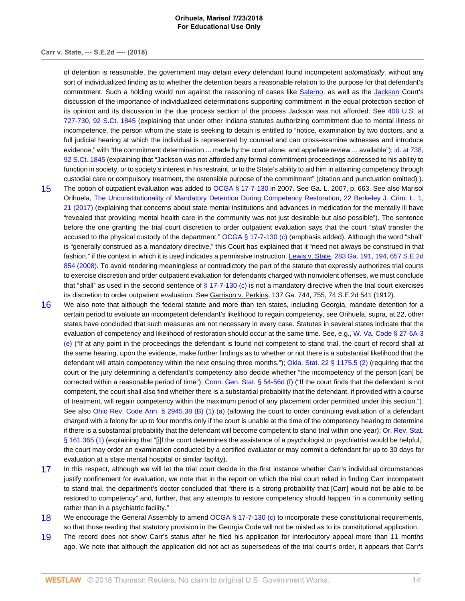### **Orihuela, Marisol 7/23/2018 For Educational Use Only**

## **Carr v. State, --- S.E.2d ---- (2018)**

of detention is reasonable, the government may detain every defendant found incompetent automatically, without any sort of individualized finding as to whether the detention bears a reasonable relation to the purpose for that defendant's commitment. Such a holding would run against the reasoning of cases like [Salerno,](http://www.westlaw.com/Link/Document/FullText?findType=Y&serNum=1987064904&originatingDoc=Ie8e30330731111e8a018fb92467ccf77&refType=RP&originationContext=document&vr=3.0&rs=cblt1.0&transitionType=DocumentItem&contextData=(sc.Keycite)) as well as the [Jackson](http://www.westlaw.com/Link/Document/FullText?findType=Y&serNum=1972127136&originatingDoc=Ie8e30330731111e8a018fb92467ccf77&refType=RP&originationContext=document&vr=3.0&rs=cblt1.0&transitionType=DocumentItem&contextData=(sc.Keycite)) Court's discussion of the importance of individualized determinations supporting commitment in the equal protection section of its opinion and its discussion in the due process section of the process Jackson was not afforded. See [406 U.S. at](http://www.westlaw.com/Link/Document/FullText?findType=Y&serNum=1972127136&pubNum=0000708&originatingDoc=Ie8e30330731111e8a018fb92467ccf77&refType=RP&fi=co_pp_sp_708_727&originationContext=document&vr=3.0&rs=cblt1.0&transitionType=DocumentItem&contextData=(sc.Keycite)#co_pp_sp_708_727) [727-730, 92 S.Ct. 1845](http://www.westlaw.com/Link/Document/FullText?findType=Y&serNum=1972127136&pubNum=0000708&originatingDoc=Ie8e30330731111e8a018fb92467ccf77&refType=RP&fi=co_pp_sp_708_727&originationContext=document&vr=3.0&rs=cblt1.0&transitionType=DocumentItem&contextData=(sc.Keycite)#co_pp_sp_708_727) (explaining that under other Indiana statutes authorizing commitment due to mental illness or incompetence, the person whom the state is seeking to detain is entitled to "notice, examination by two doctors, and a full judicial hearing at which the individual is represented by counsel and can cross-examine witnesses and introduce evidence," with "the commitment determination ... made by the court alone, and appellate review ... available"); [id. at 738,](http://www.westlaw.com/Link/Document/FullText?findType=Y&serNum=1972127136&pubNum=0000708&originatingDoc=Ie8e30330731111e8a018fb92467ccf77&refType=RP&fi=co_pp_sp_708_738&originationContext=document&vr=3.0&rs=cblt1.0&transitionType=DocumentItem&contextData=(sc.Keycite)#co_pp_sp_708_738) [92 S.Ct. 1845](http://www.westlaw.com/Link/Document/FullText?findType=Y&serNum=1972127136&pubNum=0000708&originatingDoc=Ie8e30330731111e8a018fb92467ccf77&refType=RP&fi=co_pp_sp_708_738&originationContext=document&vr=3.0&rs=cblt1.0&transitionType=DocumentItem&contextData=(sc.Keycite)#co_pp_sp_708_738) (explaining that "Jackson was not afforded any formal commitment proceedings addressed to his ability to function in society, or to society's interest in his restraint, or to the State's ability to aid him in attaining competency through custodial care or compulsory treatment, the ostensible purpose of the commitment" (citation and punctuation omitted) ).

- <span id="page-13-0"></span>[15](#page-8-3) The option of outpatient evaluation was added to [OCGA § 17-7-130](http://www.westlaw.com/Link/Document/FullText?findType=L&pubNum=1000468&cite=GAST17-7-130&originatingDoc=Ie8e30330731111e8a018fb92467ccf77&refType=LQ&originationContext=document&vr=3.0&rs=cblt1.0&transitionType=DocumentItem&contextData=(sc.Keycite)) in 2007. See Ga. L. 2007, p. 663. See also Marisol Orihuela, [The Unconstitutionality of Mandatory Detention During Competency Restoration, 22 Berkeley J. Crim. L. 1,](http://www.westlaw.com/Link/Document/FullText?findType=Y&serNum=0466557235&pubNum=0198412&originatingDoc=Ie8e30330731111e8a018fb92467ccf77&refType=LR&fi=co_pp_sp_198412_21&originationContext=document&vr=3.0&rs=cblt1.0&transitionType=DocumentItem&contextData=(sc.Keycite)#co_pp_sp_198412_21) [21 \(2017\)](http://www.westlaw.com/Link/Document/FullText?findType=Y&serNum=0466557235&pubNum=0198412&originatingDoc=Ie8e30330731111e8a018fb92467ccf77&refType=LR&fi=co_pp_sp_198412_21&originationContext=document&vr=3.0&rs=cblt1.0&transitionType=DocumentItem&contextData=(sc.Keycite)#co_pp_sp_198412_21) (explaining that concerns about state mental institutions and advances in medication for the mentally ill have "revealed that providing mental health care in the community was not just desirable but also possible"). The sentence before the one granting the trial court discretion to order outpatient evaluation says that the court "shall transfer the accused to the physical custody of the department." [OCGA § 17-7-130 \(c\)](http://www.westlaw.com/Link/Document/FullText?findType=L&pubNum=1000468&cite=GAST17-7-130&originatingDoc=Ie8e30330731111e8a018fb92467ccf77&refType=SP&originationContext=document&vr=3.0&rs=cblt1.0&transitionType=DocumentItem&contextData=(sc.Keycite)#co_pp_4b24000003ba5) (emphasis added). Although the word "shall" is "generally construed as a mandatory directive," this Court has explained that it "need not always be construed in that fashion," if the context in which it is used indicates a permissive instruction. [Lewis v. State, 283 Ga. 191, 194, 657 S.E.2d](http://www.westlaw.com/Link/Document/FullText?findType=Y&serNum=2015319923&pubNum=0000711&originatingDoc=Ie8e30330731111e8a018fb92467ccf77&refType=RP&originationContext=document&vr=3.0&rs=cblt1.0&transitionType=DocumentItem&contextData=(sc.Keycite)) [854 \(2008\)](http://www.westlaw.com/Link/Document/FullText?findType=Y&serNum=2015319923&pubNum=0000711&originatingDoc=Ie8e30330731111e8a018fb92467ccf77&refType=RP&originationContext=document&vr=3.0&rs=cblt1.0&transitionType=DocumentItem&contextData=(sc.Keycite)). To avoid rendering meaningless or contradictory the part of the statute that expressly authorizes trial courts to exercise discretion and order outpatient evaluation for defendants charged with nonviolent offenses, we must conclude that "shall" as used in the second sentence of  $\S$  17-7-130 (c) is not a mandatory directive when the trial court exercises its discretion to order outpatient evaluation. See Garrison v. Perkins, 137 Ga. 744, 755, 74 S.E.2d 541 (1912).
- <span id="page-13-1"></span>[16](#page-8-4) We also note that although the federal statute and more than ten states, including Georgia, mandate detention for a certain period to evaluate an incompetent defendant's likelihood to regain competency, see Orihuela, supra, at 22, other states have concluded that such measures are not necessary in every case. Statutes in several states indicate that the evaluation of competency and likelihood of restoration should occur at the same time. See, e.g., [W. Va. Code § 27-6A-3](http://www.westlaw.com/Link/Document/FullText?findType=L&pubNum=1000041&cite=WVSTS27-6A-3&originatingDoc=Ie8e30330731111e8a018fb92467ccf77&refType=SP&originationContext=document&vr=3.0&rs=cblt1.0&transitionType=DocumentItem&contextData=(sc.Keycite)#co_pp_7fdd00001ca15) [\(e\)](http://www.westlaw.com/Link/Document/FullText?findType=L&pubNum=1000041&cite=WVSTS27-6A-3&originatingDoc=Ie8e30330731111e8a018fb92467ccf77&refType=SP&originationContext=document&vr=3.0&rs=cblt1.0&transitionType=DocumentItem&contextData=(sc.Keycite)#co_pp_7fdd00001ca15) ("If at any point in the proceedings the defendant is found not competent to stand trial, the court of record shall at the same hearing, upon the evidence, make further findings as to whether or not there is a substantial likelihood that the defendant will attain competency within the next ensuing three months."); [Okla. Stat. 22 § 1175.5 \(2\)](http://www.westlaw.com/Link/Document/FullText?findType=L&pubNum=1000165&cite=OKSTT22S1175.5&originatingDoc=Ie8e30330731111e8a018fb92467ccf77&refType=LQ&originationContext=document&vr=3.0&rs=cblt1.0&transitionType=DocumentItem&contextData=(sc.Keycite)) (requiring that the court or the jury determining a defendant's competency also decide whether "the incompetency of the person [can] be corrected within a reasonable period of time"); Conn. Gen. Stat.  $\S$  54-56d (f) ("If the court finds that the defendant is not competent, the court shall also find whether there is a substantial probability that the defendant, if provided with a course of treatment, will regain competency within the maximum period of any placement order permitted under this section."). See also [Ohio Rev. Code Ann. § 2945.38 \(B\) \(1\) \(a\)](http://www.westlaw.com/Link/Document/FullText?findType=L&pubNum=1000279&cite=OHSTS2945.38&originatingDoc=Ie8e30330731111e8a018fb92467ccf77&refType=SP&originationContext=document&vr=3.0&rs=cblt1.0&transitionType=DocumentItem&contextData=(sc.Keycite)#co_pp_47dd0000d9ea7) (allowing the court to order continuing evaluation of a defendant charged with a felony for up to four months only if the court is unable at the time of the competency hearing to determine if there is a substantial probability that the defendant will become competent to stand trial within one year); [Or. Rev. Stat.](http://www.westlaw.com/Link/Document/FullText?findType=L&pubNum=1000534&cite=ORSTS161.365&originatingDoc=Ie8e30330731111e8a018fb92467ccf77&refType=SP&originationContext=document&vr=3.0&rs=cblt1.0&transitionType=DocumentItem&contextData=(sc.Keycite)#co_pp_f1c50000821b0) [§ 161.365 \(1\)](http://www.westlaw.com/Link/Document/FullText?findType=L&pubNum=1000534&cite=ORSTS161.365&originatingDoc=Ie8e30330731111e8a018fb92467ccf77&refType=SP&originationContext=document&vr=3.0&rs=cblt1.0&transitionType=DocumentItem&contextData=(sc.Keycite)#co_pp_f1c50000821b0) (explaining that "[i]f the court determines the assistance of a psychologist or psychiatrist would be helpful," the court may order an examination conducted by a certified evaluator or may commit a defendant for up to 30 days for evaluation at a state mental hospital or similar facility).
- <span id="page-13-2"></span>[17](#page-10-1) In this respect, although we will let the trial court decide in the first instance whether Carr's individual circumstances justify confinement for evaluation, we note that in the report on which the trial court relied in finding Carr incompetent to stand trial, the department's doctor concluded that "there is a strong probability that [Carr] would not be able to be restored to competency" and, further, that any attempts to restore competency should happen "in a community setting rather than in a psychiatric facility."
- <span id="page-13-3"></span>[18](#page-10-2) We encourage the General Assembly to amend OCGA  $\S$  17-7-130 (c) to incorporate these constitutional requirements, so that those reading that statutory provision in the Georgia Code will not be misled as to its constitutional application.
- <span id="page-13-4"></span>[19](#page-10-3) The record does not show Carr's status after he filed his application for interlocutory appeal more than 11 months ago. We note that although the application did not act as supersedeas of the trial court's order, it appears that Carr's